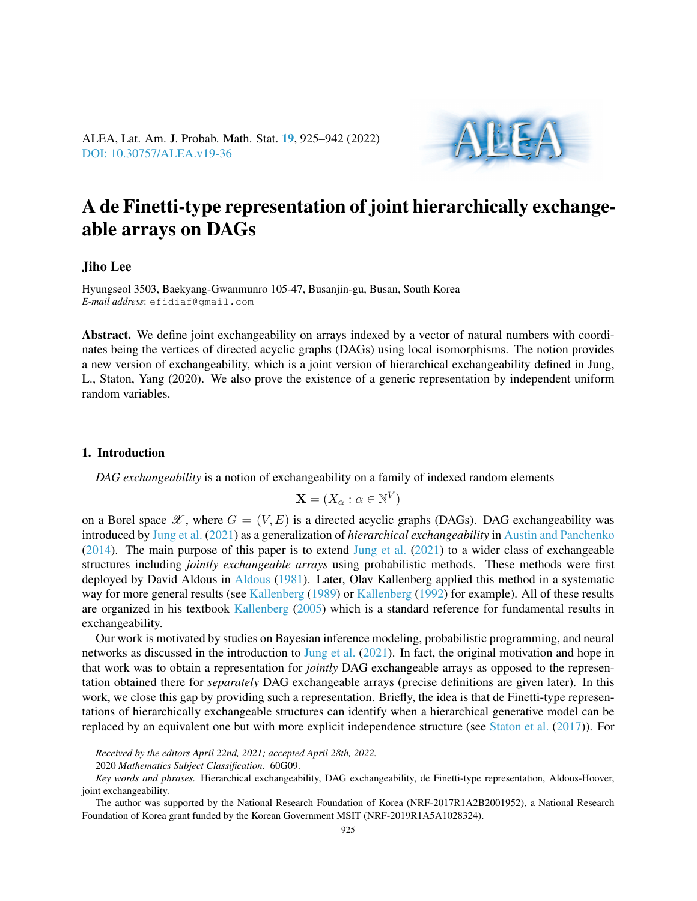

# A de Finetti-type representation of joint hierarchically exchangeable arrays on DAGs

## Jiho Lee

Hyungseol 3503, Baekyang-Gwanmunro 105-47, Busanjin-gu, Busan, South Korea *E-mail address*: efidiaf@gmail.com

Abstract. We define joint exchangeability on arrays indexed by a vector of natural numbers with coordinates being the vertices of directed acyclic graphs (DAGs) using local isomorphisms. The notion provides a new version of exchangeability, which is a joint version of hierarchical exchangeability defined in Jung, L., Staton, Yang (2020). We also prove the existence of a generic representation by independent uniform random variables.

## 1. Introduction

*DAG exchangeability* is a notion of exchangeability on a family of indexed random elements

$$
\mathbf{X} = (X_{\alpha} : \alpha \in \mathbb{N}^V)
$$

on a Borel space  $\mathscr X$ , where  $G = (V, E)$  is a directed acyclic graphs (DAGs). DAG exchangeability was introduced by [Jung et al.](#page-17-0) [\(2021\)](#page-17-0) as a generalization of *hierarchical exchangeability* in [Austin and Panchenko](#page-16-0) [\(2014\)](#page-16-0). The main purpose of this paper is to extend [Jung et al.](#page-17-0) [\(2021\)](#page-17-0) to a wider class of exchangeable structures including *jointly exchangeable arrays* using probabilistic methods. These methods were first deployed by David Aldous in [Aldous](#page-16-1) [\(1981\)](#page-16-1). Later, Olav Kallenberg applied this method in a systematic way for more general results (see [Kallenberg](#page-17-1) [\(1989\)](#page-17-1) or [Kallenberg](#page-17-2) [\(1992\)](#page-17-2) for example). All of these results are organized in his textbook [Kallenberg](#page-17-3) [\(2005\)](#page-17-3) which is a standard reference for fundamental results in exchangeability.

Our work is motivated by studies on Bayesian inference modeling, probabilistic programming, and neural networks as discussed in the introduction to [Jung et al.](#page-17-0) [\(2021\)](#page-17-0). In fact, the original motivation and hope in that work was to obtain a representation for *jointly* DAG exchangeable arrays as opposed to the representation obtained there for *separately* DAG exchangeable arrays (precise definitions are given later). In this work, we close this gap by providing such a representation. Briefly, the idea is that de Finetti-type representations of hierarchically exchangeable structures can identify when a hierarchical generative model can be replaced by an equivalent one but with more explicit independence structure (see [Staton et al.](#page-17-4) [\(2017\)](#page-17-4)). For

*Received by the editors April 22nd, 2021; accepted April 28th, 2022.*

<sup>2020</sup> *Mathematics Subject Classification.* 60G09.

*Key words and phrases.* Hierarchical exchangeability, DAG exchangeability, de Finetti-type representation, Aldous-Hoover, joint exchangeability.

The author was supported by the National Research Foundation of Korea (NRF-2017R1A2B2001952), a National Research Foundation of Korea grant funded by the Korean Government MSIT (NRF-2019R1A5A1028324).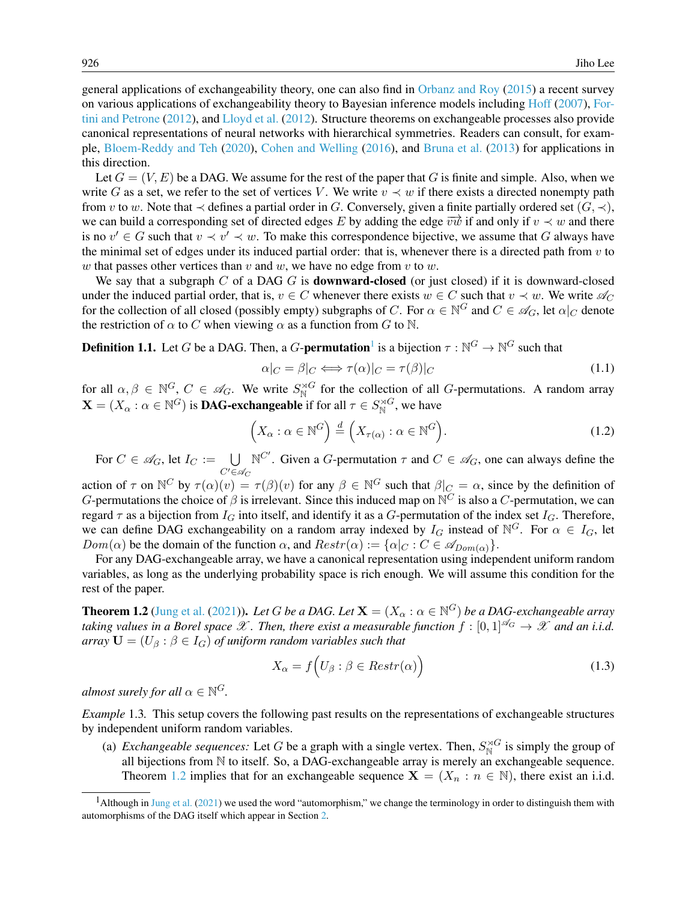general applications of exchangeability theory, one can also find in [Orbanz and Roy](#page-17-5) [\(2015\)](#page-17-5) a recent survey on various applications of exchangeability theory to Bayesian inference models including [Hoff](#page-17-6) [\(2007\)](#page-17-6), [For](#page-17-7)[tini and Petrone](#page-17-7) [\(2012\)](#page-17-7), and [Lloyd et al.](#page-17-8) [\(2012\)](#page-17-8). Structure theorems on exchangeable processes also provide canonical representations of neural networks with hierarchical symmetries. Readers can consult, for example, [Bloem-Reddy and Teh](#page-16-2) [\(2020\)](#page-16-2), [Cohen and Welling](#page-16-3) [\(2016\)](#page-16-3), and [Bruna et al.](#page-16-4) [\(2013\)](#page-16-4) for applications in this direction.

Let  $G = (V, E)$  be a DAG. We assume for the rest of the paper that G is finite and simple. Also, when we write G as a set, we refer to the set of vertices V. We write  $v \prec w$  if there exists a directed nonempty path from v to w. Note that  $\prec$  defines a partial order in G. Conversely, given a finite partially ordered set  $(G, \prec)$ , we can build a corresponding set of directed edges E by adding the edge  $\overrightarrow{vw}$  if and only if  $v \prec w$  and there is no  $v' \in G$  such that  $v \prec v' \prec w$ . To make this correspondence bijective, we assume that G always have the minimal set of edges under its induced partial order: that is, whenever there is a directed path from  $v$  to w that passes other vertices than v and w, we have no edge from v to w.

We say that a subgraph  $C$  of a DAG  $G$  is **downward-closed** (or just closed) if it is downward-closed under the induced partial order, that is,  $v \in C$  whenever there exists  $w \in C$  such that  $v \prec w$ . We write  $\mathcal{A}_C$ for the collection of all closed (possibly empty) subgraphs of C. For  $\alpha \in \mathbb{N}^G$  and  $C \in \mathscr{A}_G$ , let  $\alpha|_C$  denote the restriction of  $\alpha$  to C when viewing  $\alpha$  as a function from G to N.

<span id="page-1-3"></span>**Definition [1](#page-1-0).1.** Let G be a DAG. Then, a G-**permutation**<sup>1</sup> is a bijection  $\tau : \mathbb{N}^G \to \mathbb{N}^G$  such that

$$
\alpha|_C = \beta|_C \Longleftrightarrow \tau(\alpha)|_C = \tau(\beta)|_C \tag{1.1}
$$

for all  $\alpha, \beta \in \mathbb{N}^G$ ,  $C \in \mathscr{A}_G$ . We write  $S^{\rtimes G}_{\mathbb{N}}$  for the collection of all G-permutations. A random array  $\mathbf{X} = (X_{\alpha} : \alpha \in \mathbb{N}^G)$  is **DAG-exchangeable** if for all  $\tau \in S_{\mathbb{N}}^{\rtimes G}$ , we have

<span id="page-1-4"></span>
$$
\left(X_{\alpha}: \alpha \in \mathbb{N}^G\right) \stackrel{d}{=} \left(X_{\tau(\alpha)}: \alpha \in \mathbb{N}^G\right). \tag{1.2}
$$

For  $C \in \mathscr{A}_G$ , let  $I_C := \bigcup$  $C' \in \mathscr{A}_C$  $\mathbb{N}^{C'}$ . Given a *G*-permutation  $\tau$  and  $C \in \mathcal{A}_G$ , one can always define the

action of  $\tau$  on  $\mathbb{N}^C$  by  $\tau(\alpha)(v) = \tau(\beta)(v)$  for any  $\beta \in \mathbb{N}^G$  such that  $\beta|_C = \alpha$ , since by the definition of G-permutations the choice of  $\beta$  is irrelevant. Since this induced map on  $\mathbb{N}^C$  is also a C-permutation, we can regard  $\tau$  as a bijection from  $I_G$  into itself, and identify it as a G-permutation of the index set  $I_G$ . Therefore, we can define DAG exchangeability on a random array indexed by  $I_G$  instead of  $\mathbb{N}^G$ . For  $\alpha \in I_G$ , let  $Dom(\alpha)$  be the domain of the function  $\alpha$ , and  $Restr(\alpha) := {\alpha|_{C : C \in \mathscr{A}_{Dom(\alpha)}}}.$ 

For any DAG-exchangeable array, we have a canonical representation using independent uniform random variables, as long as the underlying probability space is rich enough. We will assume this condition for the rest of the paper.

<span id="page-1-1"></span>**Theorem 1.2** [\(Jung et al.](#page-17-0) [\(2021\)](#page-17-0)). Let  $G$  be a DAG. Let  $\mathbf{X} = (X_\alpha : \alpha \in \mathbb{N}^G)$  be a DAG-exchangeable array *taking values in a Borel space*  $\mathscr X$ *. Then, there exist a measurable function*  $f : [0,1]^{\mathscr A_G} \to \mathscr X$  *and an i.i.d. array*  $\mathbf{U} = (U_{\beta} : \beta \in I_G)$  *of uniform random variables such that* 

$$
X_{\alpha} = f\Big(U_{\beta} : \beta \in Restr(\alpha)\Big) \tag{1.3}
$$

almost surely for all  $\alpha \in \mathbb{N}^G$ .

<span id="page-1-2"></span>*Example* 1.3*.* This setup covers the following past results on the representations of exchangeable structures by independent uniform random variables.

(a) *Exchangeable sequences:* Let G be a graph with a single vertex. Then,  $S_{\mathbb{N}}^{\rtimes G}$  is simply the group of all bijections from N to itself. So, a DAG-exchangeable array is merely an exchangeable sequence. Theorem [1.2](#page-1-1) implies that for an exchangeable sequence  $X = (X_n : n \in \mathbb{N})$ , there exist an i.i.d.

<span id="page-1-0"></span><sup>&</sup>lt;sup>1</sup>Although in [Jung et al.](#page-17-0) [\(2021\)](#page-17-0) we used the word "automorphism," we change the terminology in order to distinguish them with automorphisms of the DAG itself which appear in Section [2.](#page-3-0)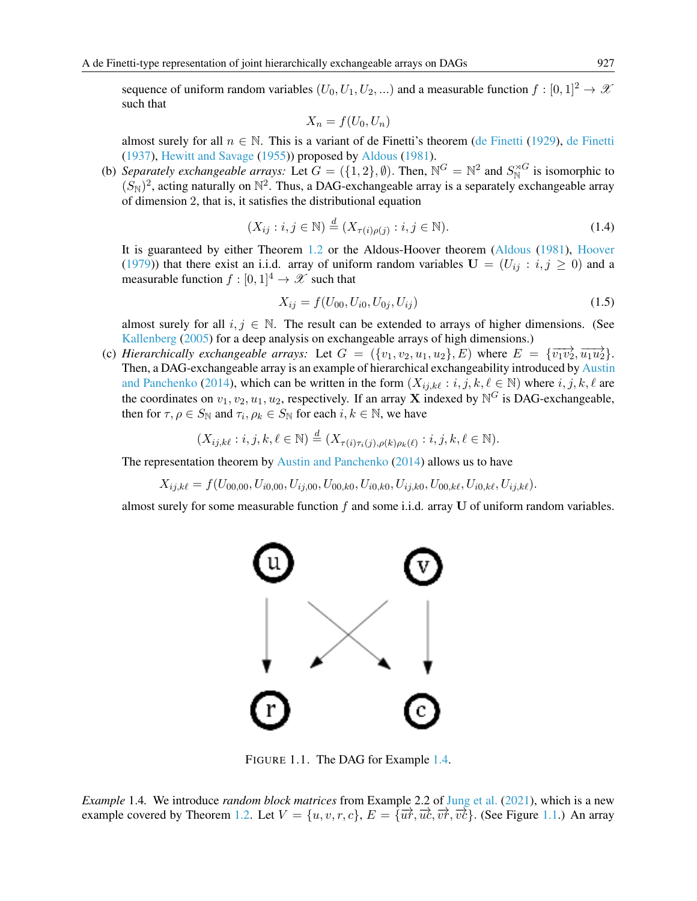sequence of uniform random variables  $(U_0, U_1, U_2, ...)$  and a measurable function  $f : [0, 1]^2 \to \mathcal{X}$ such that

$$
X_n = f(U_0, U_n)
$$

almost surely for all  $n \in \mathbb{N}$ . This is a variant of de Finetti's theorem [\(de Finetti](#page-16-5) [\(1929\)](#page-16-5), [de Finetti](#page-16-6) [\(1937\)](#page-16-6), [Hewitt and Savage](#page-17-9) [\(1955\)](#page-17-9)) proposed by [Aldous](#page-16-1) [\(1981\)](#page-16-1).

(b) *Separately exchangeable arrays:* Let  $G = (\{1,2\}, \emptyset)$ . Then,  $\mathbb{N}^G = \mathbb{N}^2$  and  $S_{\mathbb{N}}^{\rtimes G}$  is isomorphic to  $(S_{\rm N})^2$ , acting naturally on  $\mathbb{N}^2$ . Thus, a DAG-exchangeable array is a separately exchangeable array of dimension 2, that is, it satisfies the distributional equation

$$
(X_{ij} : i, j \in \mathbb{N}) \stackrel{d}{=} (X_{\tau(i)\rho(j)} : i, j \in \mathbb{N}).
$$
\n(1.4)

It is guaranteed by either Theorem [1.2](#page-1-1) or the Aldous-Hoover theorem [\(Aldous](#page-16-1) [\(1981\)](#page-16-1), [Hoover](#page-17-10) [\(1979\)](#page-17-10)) that there exist an i.i.d. array of uniform random variables  $U = (U_{ij} : i, j \ge 0)$  and a measurable function  $f : [0, 1]^4 \rightarrow \mathcal{X}$  such that

<span id="page-2-2"></span>
$$
X_{ij} = f(U_{00}, U_{i0}, U_{0j}, U_{ij})
$$
\n(1.5)

almost surely for all  $i, j \in \mathbb{N}$ . The result can be extended to arrays of higher dimensions. (See [Kallenberg](#page-17-3) [\(2005\)](#page-17-3) for a deep analysis on exchangeable arrays of high dimensions.)

(c) *Hierarchically exchangeable arrays:* Let  $G = (\{v_1, v_2, u_1, u_2\}, E)$  where  $E = \{\overrightarrow{v_1v_2}, \overrightarrow{u_1u_2}\}$ . Then, a DAG-exchangeable array is an example of hierarchical exchangeability introduced by [Austin](#page-16-0) [and Panchenko](#page-16-0) [\(2014\)](#page-16-0), which can be written in the form  $(X_{ij,k\ell} : i, j, k, \ell \in \mathbb{N})$  where  $i, j, k, \ell$  are the coordinates on  $v_1, v_2, u_1, u_2$ , respectively. If an array **X** indexed by  $\mathbb{N}^G$  is DAG-exchangeable, then for  $\tau, \rho \in S_{\mathbb{N}}$  and  $\tau_i, \rho_k \in S_{\mathbb{N}}$  for each  $i, k \in \mathbb{N}$ , we have

$$
(X_{ij,k\ell}:i,j,k,\ell\in\mathbb{N})\stackrel{d}{=} (X_{\tau(i)\tau_i(j),\rho(k)\rho_k(\ell)}:i,j,k,\ell\in\mathbb{N}).
$$

The representation theorem by [Austin and Panchenko](#page-16-0) [\(2014\)](#page-16-0) allows us to have

 $X_{i,i,k\ell} = f(U_{00,00}, U_{i0,00}, U_{i1,00}, U_{00,k0}, U_{i0,k0}, U_{i1,k0}, U_{00,k\ell}, U_{i0,k\ell}, U_{i1,k\ell}).$ 

almost surely for some measurable function  $f$  and some i.i.d. array U of uniform random variables.



<span id="page-2-1"></span>FIGURE 1.1. The DAG for Example [1.4.](#page-2-0)

<span id="page-2-0"></span>*Example* 1.4*.* We introduce *random block matrices* from Example 2.2 of [Jung et al.](#page-17-0) [\(2021\)](#page-17-0), which is a new example covered by Theorem [1.2.](#page-1-1) Let  $V = \{u, v, r, c\}$ ,  $E = \{\overrightarrow{u}, \overrightarrow{uc}, \overrightarrow{vc}, \overrightarrow{vc}\}$ . (See Figure [1.1.](#page-2-1)) An array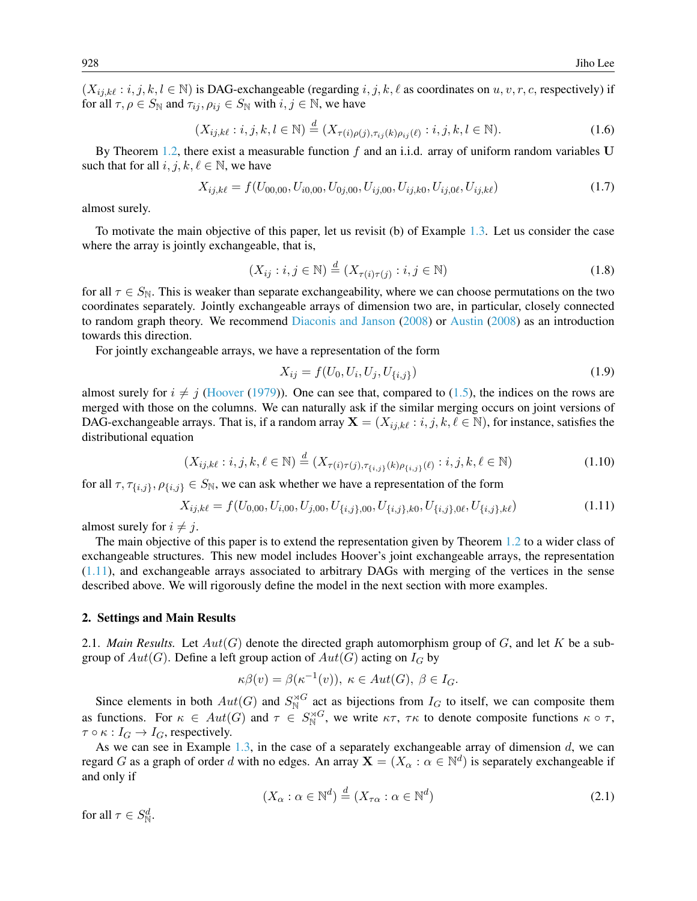$(X_{i,j,k\ell} : i, j, k, l \in \mathbb{N})$  is DAG-exchangeable (regarding  $i, j, k, \ell$  as coordinates on  $u, v, r, c$ , respectively) if for all  $\tau, \rho \in S_{\mathbb{N}}$  and  $\tau_{ij}, \rho_{ij} \in S_{\mathbb{N}}$  with  $i, j \in \mathbb{N}$ , we have

$$
(X_{ij,k\ell} : i, j, k, l \in \mathbb{N}) \stackrel{d}{=} (X_{\tau(i)\rho(j), \tau_{ij}(k)\rho_{ij}(\ell)} : i, j, k, l \in \mathbb{N}).
$$
\n(1.6)

By Theorem [1.2,](#page-1-1) there exist a measurable function f and an i.i.d. array of uniform random variables U such that for all  $i, j, k, \ell \in \mathbb{N}$ , we have

$$
X_{ij,k\ell} = f(U_{00,00}, U_{i0,00}, U_{0j,00}, U_{ij,00}, U_{ij,k0}, U_{ij,0\ell}, U_{ij,k\ell})
$$
\n(1.7)

almost surely.

To motivate the main objective of this paper, let us revisit (b) of Example [1.3.](#page-1-2) Let us consider the case where the array is jointly exchangeable, that is,

$$
(X_{ij} : i, j \in \mathbb{N}) \stackrel{d}{=} (X_{\tau(i)\tau(j)} : i, j \in \mathbb{N})
$$
\n(1.8)

for all  $\tau \in S_{\mathbb{N}}$ . This is weaker than separate exchangeability, where we can choose permutations on the two coordinates separately. Jointly exchangeable arrays of dimension two are, in particular, closely connected to random graph theory. We recommend [Diaconis and Janson](#page-16-7) [\(2008\)](#page-16-7) or [Austin](#page-16-8) [\(2008\)](#page-16-8) as an introduction towards this direction.

For jointly exchangeable arrays, we have a representation of the form

$$
X_{ij} = f(U_0, U_i, U_j, U_{\{i,j\}})
$$
\n(1.9)

almost surely for  $i \neq j$  [\(Hoover](#page-17-10) [\(1979\)](#page-17-10)). One can see that, compared to [\(1.5\)](#page-2-2), the indices on the rows are merged with those on the columns. We can naturally ask if the similar merging occurs on joint versions of DAG-exchangeable arrays. That is, if a random array  $X = (X_{ij,k\ell} : i, j, k, \ell \in \mathbb{N})$ , for instance, satisfies the distributional equation

$$
(X_{ij,k\ell} : i, j, k, \ell \in \mathbb{N}) \stackrel{d}{=} (X_{\tau(i)\tau(j), \tau(i,j)}(k)\rho_{\{i,j\}}(\ell) : i, j, k, \ell \in \mathbb{N})
$$
\n(1.10)

for all  $\tau$ ,  $\tau_{\{i,j\}}, \rho_{\{i,j\}} \in S_{\mathbb{N}}$ , we can ask whether we have a representation of the form

<span id="page-3-1"></span>
$$
X_{ij,k\ell} = f(U_{0,00}, U_{i,00}, U_{j,00}, U_{\{i,j\},00}, U_{\{i,j\},k0}, U_{\{i,j\},0\ell}, U_{\{i,j\},k\ell})
$$
(1.11)

almost surely for  $i \neq j$ .

The main objective of this paper is to extend the representation given by Theorem [1.2](#page-1-1) to a wider class of exchangeable structures. This new model includes Hoover's joint exchangeable arrays, the representation [\(1.11\)](#page-3-1), and exchangeable arrays associated to arbitrary DAGs with merging of the vertices in the sense described above. We will rigorously define the model in the next section with more examples.

#### <span id="page-3-0"></span>2. Settings and Main Results

2.1. *Main Results.* Let  $Aut(G)$  denote the directed graph automorphism group of G, and let K be a subgroup of  $Aut(G)$ . Define a left group action of  $Aut(G)$  acting on  $I_G$  by

$$
\kappa\beta(v) = \beta(\kappa^{-1}(v)), \ \kappa \in Aut(G), \ \beta \in I_G.
$$

Since elements in both  $Aut(G)$  and  $S_N^{\rtimes G}$  act as bijections from  $I_G$  to itself, we can composite them as functions. For  $\kappa \in Aut(G)$  and  $\tau \in S_N^{\rtimes G}$ , we write  $\kappa \tau$ ,  $\tau \kappa$  to denote composite functions  $\kappa \circ \tau$ ,  $\tau \circ \kappa : I_G \to I_G$ , respectively.

As we can see in Example [1.3,](#page-1-2) in the case of a separately exchangeable array of dimension  $d$ , we can regard G as a graph of order d with no edges. An array  $X = (X_\alpha : \alpha \in \mathbb{N}^d)$  is separately exchangeable if and only if

<span id="page-3-2"></span>
$$
(X_{\alpha} : \alpha \in \mathbb{N}^{d}) \stackrel{d}{=} (X_{\tau\alpha} : \alpha \in \mathbb{N}^{d})
$$
\n(2.1)

for all  $\tau \in S^d_{\mathbb{N}}$ .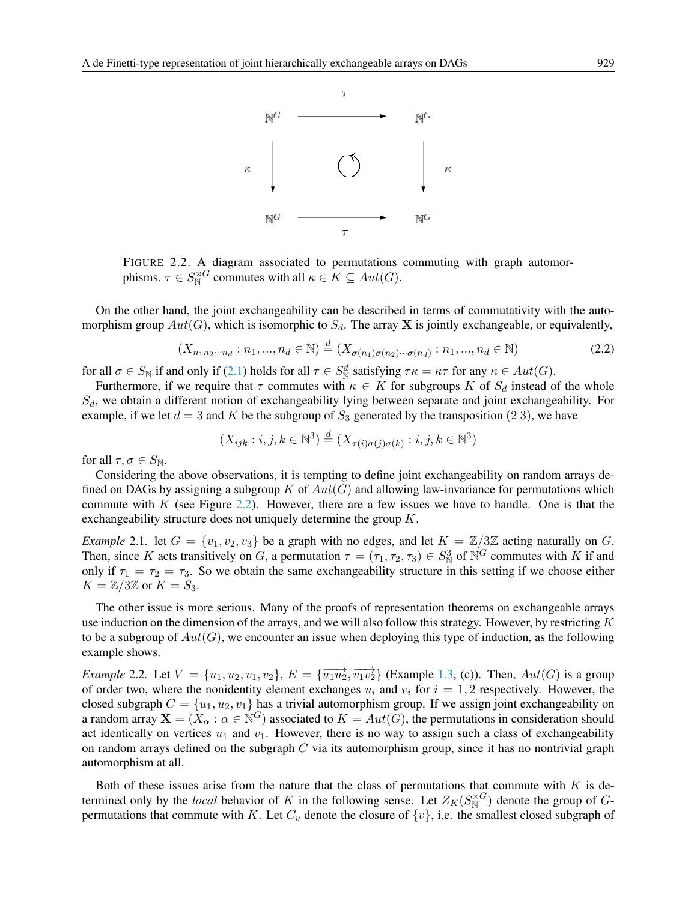

<span id="page-4-0"></span>FIGURE 2.2. A diagram associated to permutations commuting with graph automorphisms.  $\tau \in S_{\mathbb{N}}^{\rtimes G}$  commutes with all  $\kappa \in K \subseteq Aut(G)$ .

On the other hand, the joint exchangeability can be described in terms of commutativity with the automorphism group  $Aut(G)$ , which is isomorphic to  $S_d$ . The array **X** is jointly exchangeable, or equivalently,

$$
(X_{n_1 n_2 \cdots n_d} : n_1, ..., n_d \in \mathbb{N}) \stackrel{d}{=} (X_{\sigma(n_1)\sigma(n_2)\cdots\sigma(n_d)} : n_1, ..., n_d \in \mathbb{N})
$$
\n(2.2)

for all  $\sigma \in S_{\mathbb{N}}$  if and only if [\(2.1\)](#page-3-2) holds for all  $\tau \in S_{\mathbb{N}}^d$  satisfying  $\tau \kappa = \kappa \tau$  for any  $\kappa \in Aut(G)$ .

Furthermore, if we require that  $\tau$  commutes with  $\kappa \in K$  for subgroups K of  $S_d$  instead of the whole  $S_d$ , we obtain a different notion of exchangeability lying between separate and joint exchangeability. For example, if we let  $d = 3$  and K be the subgroup of  $S_3$  generated by the transposition (2 3), we have

$$
(X_{ijk} : i, j, k \in \mathbb{N}^3) \stackrel{d}{=} (X_{\tau(i)\sigma(j)\sigma(k)} : i, j, k \in \mathbb{N}^3)
$$

for all  $\tau, \sigma \in S_{\mathbb{N}}$ .

Considering the above observations, it is tempting to define joint exchangeability on random arrays defined on DAGs by assigning a subgroup K of  $Aut(G)$  and allowing law-invariance for permutations which commute with  $K$  (see Figure [2.2\)](#page-4-0). However, there are a few issues we have to handle. One is that the exchangeability structure does not uniquely determine the group K.

*Example* 2.1. let  $G = \{v_1, v_2, v_3\}$  be a graph with no edges, and let  $K = \mathbb{Z}/3\mathbb{Z}$  acting naturally on G. Then, since K acts transitively on G, a permutation  $\tau = (\tau_1, \tau_2, \tau_3) \in S^3_N$  of  $\mathbb{N}^G$  commutes with K if and only if  $\tau_1 = \tau_2 = \tau_3$ . So we obtain the same exchangeability structure in this setting if we choose either  $K = \mathbb{Z}/3\mathbb{Z}$  or  $K = S_3$ .

The other issue is more serious. Many of the proofs of representation theorems on exchangeable arrays use induction on the dimension of the arrays, and we will also follow this strategy. However, by restricting  $K$ to be a subgroup of  $Aut(G)$ , we encounter an issue when deploying this type of induction, as the following example shows.

<span id="page-4-1"></span>*Example* 2.2. Let  $V = \{u_1, u_2, v_1, v_2\}$ ,  $E = \{\overrightarrow{u_1u_2}, \overrightarrow{v_1v_2}\}$  (Example [1.3,](#page-1-2) (c)). Then,  $Aut(G)$  is a group of order two, where the nonidentity element exchanges  $u_i$  and  $v_i$  for  $i = 1, 2$  respectively. However, the closed subgraph  $C = \{u_1, u_2, v_1\}$  has a trivial automorphism group. If we assign joint exchangeability on a random array  $X = (X_\alpha : \alpha \in \mathbb{N}^G)$  associated to  $K = Aut(G)$ , the permutations in consideration should act identically on vertices  $u_1$  and  $v_1$ . However, there is no way to assign such a class of exchangeability on random arrays defined on the subgraph  $C$  via its automorphism group, since it has no nontrivial graph automorphism at all.

Both of these issues arise from the nature that the class of permutations that commute with  $K$  is determined only by the *local* behavior of K in the following sense. Let  $Z_K(S_N^{\rtimes G})$  denote the group of Gpermutations that commute with K. Let  $C_v$  denote the closure of  $\{v\}$ , i.e. the smallest closed subgraph of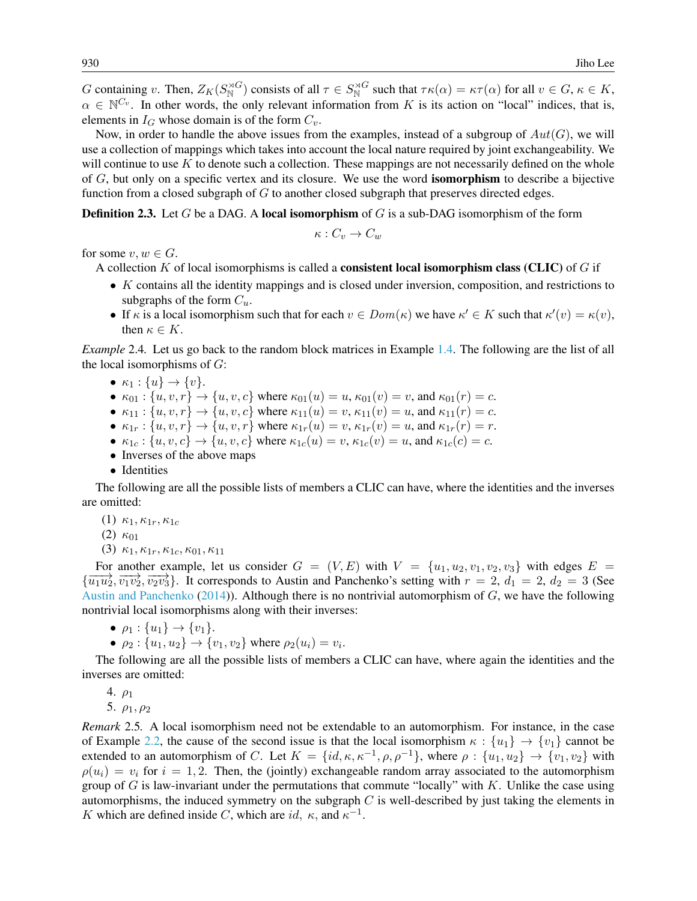G containing v. Then,  $Z_K(S_N^{\rtimes G})$  consists of all  $\tau \in S_N^{\rtimes G}$  such that  $\tau \kappa(\alpha) = \kappa \tau(\alpha)$  for all  $v \in G$ ,  $\kappa \in K$ ,  $\alpha \in \mathbb{N}^{C_v}$ . In other words, the only relevant information from K is its action on "local" indices, that is, elements in  $I_G$  whose domain is of the form  $C_v$ .

Now, in order to handle the above issues from the examples, instead of a subgroup of  $Aut(G)$ , we will use a collection of mappings which takes into account the local nature required by joint exchangeability. We will continue to use  $K$  to denote such a collection. These mappings are not necessarily defined on the whole of G, but only on a specific vertex and its closure. We use the word isomorphism to describe a bijective function from a closed subgraph of  $G$  to another closed subgraph that preserves directed edges.

<span id="page-5-0"></span>**Definition 2.3.** Let G be a DAG. A local isomorphism of G is a sub-DAG isomorphism of the form

$$
\kappa:C_v\to C_w
$$

for some  $v, w \in G$ .

A collection  $K$  of local isomorphisms is called a **consistent local isomorphism class (CLIC)** of  $G$  if

- K contains all the identity mappings and is closed under inversion, composition, and restrictions to subgraphs of the form  $C_u$ .
- If  $\kappa$  is a local isomorphism such that for each  $v \in Dom(\kappa)$  we have  $\kappa' \in K$  such that  $\kappa'(v) = \kappa(v)$ , then  $\kappa \in K$ .

<span id="page-5-1"></span>*Example* 2.4*.* Let us go back to the random block matrices in Example [1.4.](#page-2-0) The following are the list of all the local isomorphisms of  $G$ :

- $\kappa_1 : \{u\} \to \{v\}.$
- $\kappa_{01}$ :  $\{u, v, r\} \to \{u, v, c\}$  where  $\kappa_{01}(u) = u$ ,  $\kappa_{01}(v) = v$ , and  $\kappa_{01}(r) = c$ .
- $\kappa_{11}$ :  $\{u, v, r\} \to \{u, v, c\}$  where  $\kappa_{11}(u) = v$ ,  $\kappa_{11}(v) = u$ , and  $\kappa_{11}(r) = c$ .
- $\kappa_{1r}$ :  $\{u, v, r\} \rightarrow \{u, v, r\}$  where  $\kappa_{1r}(u) = v$ ,  $\kappa_{1r}(v) = u$ , and  $\kappa_{1r}(r) = r$ .
- $\kappa_{1c}$ :  $\{u, v, c\} \rightarrow \{u, v, c\}$  where  $\kappa_{1c}(u) = v$ ,  $\kappa_{1c}(v) = u$ , and  $\kappa_{1c}(c) = c$ .
- Inverses of the above maps
- Identities

The following are all the possible lists of members a CLIC can have, where the identities and the inverses are omitted:

- (1)  $\kappa_1, \kappa_{1r}, \kappa_{1c}$
- (2)  $\kappa_{01}$
- (3)  $\kappa_1, \kappa_{1r}, \kappa_{1c}, \kappa_{01}, \kappa_{11}$

For another example, let us consider  $G = (V, E)$  with  $V = \{u_1, u_2, v_1, v_2, v_3\}$  with edges  $E =$  ${\overline{u_1u_2}, \overline{v_1v_2}, \overline{v_2v_3}}$ . It corresponds to Austin and Panchenko's setting with  $r = 2$ ,  $d_1 = 2$ ,  $d_2 = 3$  (See [Austin and Panchenko](#page-16-0) [\(2014\)](#page-16-0)). Although there is no nontrivial automorphism of  $G$ , we have the following nontrivial local isomorphisms along with their inverses:

$$
\bullet \ \rho_1 : \{u_1\} \to \{v_1\}.
$$

• 
$$
\rho_2 : \{u_1, u_2\} \to \{v_1, v_2\}
$$
 where  $\rho_2(u_i) = v_i$ .

The following are all the possible lists of members a CLIC can have, where again the identities and the inverses are omitted:

4.  $\rho_1$ 

5.  $\rho_1, \rho_2$ 

*Remark* 2.5*.* A local isomorphism need not be extendable to an automorphism. For instance, in the case of Example [2.2,](#page-4-1) the cause of the second issue is that the local isomorphism  $\kappa : \{u_1\} \to \{v_1\}$  cannot be extended to an automorphism of C. Let  $K = \{id, \kappa, \kappa^{-1}, \rho, \rho^{-1}\}$ , where  $\rho : \{u_1, u_2\} \to \{v_1, v_2\}$  with  $\rho(u_i) = v_i$  for  $i = 1, 2$ . Then, the (jointly) exchangeable random array associated to the automorphism group of  $G$  is law-invariant under the permutations that commute "locally" with  $K$ . Unlike the case using automorphisms, the induced symmetry on the subgraph  $C$  is well-described by just taking the elements in K which are defined inside C, which are id,  $\kappa$ , and  $\kappa^{-1}$ .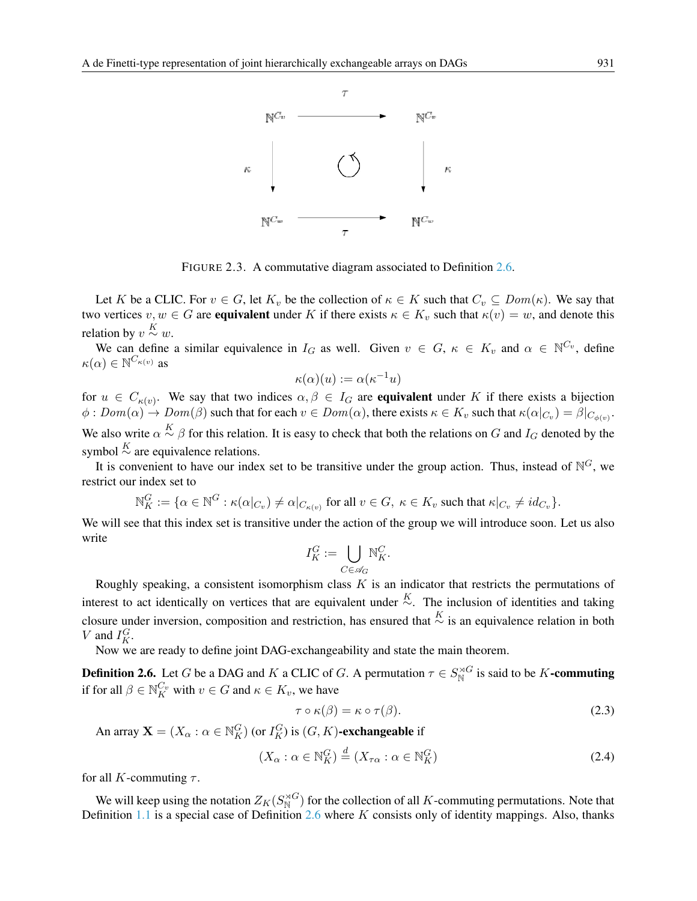

FIGURE 2.3. A commutative diagram associated to Definition [2.6.](#page-6-0)

Let K be a CLIC. For  $v \in G$ , let  $K_v$  be the collection of  $\kappa \in K$  such that  $C_v \subseteq Dom(\kappa)$ . We say that two vertices  $v, w \in G$  are equivalent under K if there exists  $\kappa \in K_v$  such that  $\kappa(v) = w$ , and denote this relation by  $v \stackrel{K}{\sim} w$ .

We can define a similar equivalence in  $I_G$  as well. Given  $v \in G$ ,  $\kappa \in K_v$  and  $\alpha \in \mathbb{N}^{C_v}$ , define  $\kappa(\alpha) \in \mathbb{N}^{C_{\kappa(v)}}$  as

$$
\kappa(\alpha)(u) := \alpha(\kappa^{-1}u)
$$

for  $u \in C_{\kappa(v)}$ . We say that two indices  $\alpha, \beta \in I_G$  are **equivalent** under K if there exists a bijection  $\phi:Dom(\alpha)\to Dom(\beta)$  such that for each  $v\in Dom(\alpha)$ , there exists  $\kappa\in K_v$  such that  $\kappa(\alpha|_{C_v})=\beta|_{C_{\phi(v)}}$ . We also write  $\alpha \stackrel{K}{\sim} \beta$  for this relation. It is easy to check that both the relations on G and  $I_G$  denoted by the symbol  $\stackrel{K}{\sim}$  are equivalence relations.

It is convenient to have our index set to be transitive under the group action. Thus, instead of  $\mathbb{N}^G$ , we restrict our index set to

$$
\mathbb{N}_{K}^{G} := \{ \alpha \in \mathbb{N}^{G} : \kappa(\alpha|_{C_{v}}) \neq \alpha|_{C_{\kappa(v)}} \text{ for all } v \in G, \ \kappa \in K_{v} \text{ such that } \kappa|_{C_{v}} \neq id_{C_{v}} \}.
$$

We will see that this index set is transitive under the action of the group we will introduce soon. Let us also write

$$
I_K^G:=\bigcup_{C\in\mathscr{A}_G}\mathbb{N}_K^C.
$$

Roughly speaking, a consistent isomorphism class  $K$  is an indicator that restricts the permutations of interest to act identically on vertices that are equivalent under  $\stackrel{K}{\sim}$ . The inclusion of identities and taking closure under inversion, composition and restriction, has ensured that  $\frac{K}{\sim}$  is an equivalence relation in both V and  $I_K^G$ .

Now we are ready to define joint DAG-exchangeability and state the main theorem.

<span id="page-6-0"></span>**Definition 2.6.** Let G be a DAG and K a CLIC of G. A permutation  $\tau \in S_N^{\rtimes G}$  is said to be K-commuting if for all  $\beta \in \mathbb{N}_K^{C_v}$  with  $v \in G$  and  $\kappa \in K_v$ , we have

$$
\tau \circ \kappa(\beta) = \kappa \circ \tau(\beta). \tag{2.3}
$$

An array  $\mathbf{X} = (X_{\alpha} : \alpha \in \mathbb{N}_{K}^{G})$  (or  $I_{K}^{G}$ ) is  $(G, K)$ -exchangeable if

$$
(X_{\alpha} : \alpha \in \mathbb{N}_{K}^{G}) \stackrel{d}{=} (X_{\tau\alpha} : \alpha \in \mathbb{N}_{K}^{G})
$$
\n(2.4)

for all K-commuting  $\tau$ .

We will keep using the notation  $Z_K(S_N^{\rtimes G})$  for the collection of all K-commuting permutations. Note that Definition [1.1](#page-1-3) is a special case of Definition [2.6](#page-6-0) where  $K$  consists only of identity mappings. Also, thanks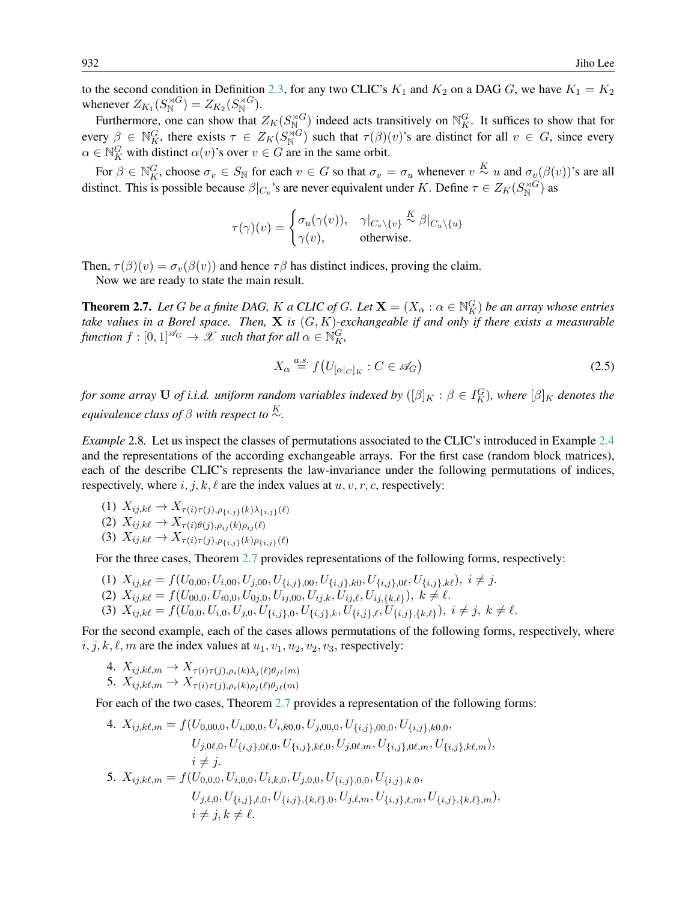to the second condition in Definition [2.3,](#page-5-0) for any two CLIC's  $K_1$  and  $K_2$  on a DAG G, we have  $K_1 = K_2$ whenever  $Z_{K_1}(S_N^{\rtimes G}) = Z_{K_2}(S_N^{\rtimes G})$ .

Furthermore, one can show that  $Z_K(S_{\mathbb{N}_\infty}^{\rtimes G})$  indeed acts transitively on  $\mathbb{N}_K^G$ . It suffices to show that for every  $\beta \in \mathbb{N}_K^G$ , there exists  $\tau \in Z_K(S_N^{\rtimes G})$  such that  $\tau(\beta)(v)$ 's are distinct for all  $v \in G$ , since every  $\alpha \in \mathbb{N}_K^G$  with distinct  $\alpha(v)$ 's over  $v \in G$  are in the same orbit.

For  $\beta \in \mathbb{N}_K^G$ , choose  $\sigma_v \in S_{\mathbb{N}}$  for each  $v \in G$  so that  $\sigma_v = \sigma_u$  whenever  $v \stackrel{K}{\sim} u$  and  $\sigma_v(\beta(v))$ 's are all distinct. This is possible because  $\beta|_{C_v}$ 's are never equivalent under K. Define  $\tau \in Z_K(S_N^{\rtimes G})$  as

$$
\tau(\gamma)(v) = \begin{cases} \sigma_u(\gamma(v)), & \gamma|_{C_v \setminus \{v\}} \stackrel{K}{\sim} \beta|_{C_u \setminus \{u\}} \\ \gamma(v), & \text{otherwise.} \end{cases}
$$

Then,  $\tau(\beta)(v) = \sigma_v(\beta(v))$  and hence  $\tau\beta$  has distinct indices, proving the claim.

Now we are ready to state the main result.

<span id="page-7-0"></span>**Theorem 2.7.** Let G be a finite DAG, K a CLIC of G. Let  $X = (X_\alpha : \alpha \in \mathbb{N}_K^G)$  be an array whose entries *take values in a Borel space. Then,* X *is* (G, K)*-exchangeable if and only if there exists a measurable function*  $f : [0,1]^{\mathscr{A}_G} \to \mathscr{X}$  *such that for all*  $\alpha \in \mathbb{N}_K^G$ ,

<span id="page-7-1"></span>
$$
X_{\alpha} \stackrel{a.s.}{=} f(U_{[\alpha|_C]_K} : C \in \mathscr{A}_G)
$$
\n
$$
(2.5)
$$

*for some array* U *of i.i.d. uniform random variables indexed by*  $([\beta]_K : \beta \in I_K^G$ *), where*  $[\beta]_K$  *denotes the equivalence class of*  $\beta$  *with respect to*  $\stackrel{K}{\sim}$ *.* 

*Example* 2.8*.* Let us inspect the classes of permutations associated to the CLIC's introduced in Example [2.4](#page-5-1) and the representations of the according exchangeable arrays. For the first case (random block matrices), each of the describe CLIC's represents the law-invariance under the following permutations of indices, respectively, where  $i, j, k, \ell$  are the index values at  $u, v, r, c$ , respectively:

(1)  $X_{ij,k\ell} \to X_{\tau(i)\tau(j),\rho_{\{i,j\}}(k)\lambda_{\{i,j\}}(\ell)}$ 

(2) 
$$
X_{ij,k\ell} \to X_{\tau(i)\theta(j),\rho_{ij}(k)\rho_{ij}(\ell)}
$$

(3)  $X_{ij,k\ell} \to X_{\tau(i)\tau(j),\rho_{i,j}(k)\rho_{i,j}(\ell)}$ 

For the three cases, Theorem [2.7](#page-7-0) provides representations of the following forms, respectively:

- (1)  $X_{ij,k\ell} = f(U_{0,00}, U_{i,00}, U_{j,00}, U_{\{i,j\},00}, U_{\{i,j\},k0}, U_{\{i,j\},0\ell}, U_{\{i,j\},k\ell}), i \neq j.$
- (2)  $X_{ij,k\ell} = f(U_{00,0}, U_{i0,0}, U_{0j,0}, U_{ij,00}, U_{ij,k}, U_{ij,\ell}, U_{ij,\{k,\ell\}}), k \neq \ell.$
- (3)  $X_{ij,k\ell} = f(U_{0,0}, U_{i,0}, U_{j,0}, U_{\{i,j\},0}, U_{\{i,j\},k}, U_{\{i,j\},\ell}, U_{\{i,j\},\{k,\ell\}}), i \neq j, k \neq \ell.$

For the second example, each of the cases allows permutations of the following forms, respectively, where  $i, j, k, \ell, m$  are the index values at  $u_1, v_1, u_2, v_2, v_3$ , respectively:

4. 
$$
X_{ij,k\ell,m} \to X_{\tau(i)\tau(j),\rho_i(k)\lambda_j(\ell)\theta_{j\ell}(m)}
$$
  
5.  $X_{ij,k\ell,m} \to X_{\tau(i)\tau(j),\rho_i(k)\rho_j(\ell)\theta_{j\ell}(m)}$ 

For each of the two cases, Theorem [2.7](#page-7-0) provides a representation of the following forms:

4. 
$$
X_{ij,k\ell,m} = f(U_{0,00,0}, U_{i,00,0}, U_{i,k0,0}, U_{j,00,0}, U_{\{i,j\},00,0}, U_{\{i,j\},k0,0},
$$
  
\t $U_{j,0\ell,0}, U_{\{i,j\},0\ell,0}, U_{\{i,j\},k\ell,0}, U_{j,0\ell,m}, U_{\{i,j\},0\ell,m}, U_{\{i,j\},k\ell,m}),$   
\t $i \neq j.$   
5.  $X_{ij,k\ell,m} = f(U_{0,0,0}, U_{i,0,0}, U_{i,k,0}, U_{j,0,0}, U_{\{i,j\},0,0}, U_{\{i,j\},k,0},$   
\t $U_{j,\ell,0}, U_{\{i,j\},\ell,0}, U_{\{i,j\},\{k,\ell\},0}, U_{j,\ell,m}, U_{\{i,j\},\ell,m}, U_{\{i,j\},\{k,\ell\},m}),$   
\t $i \neq j, k \neq \ell.$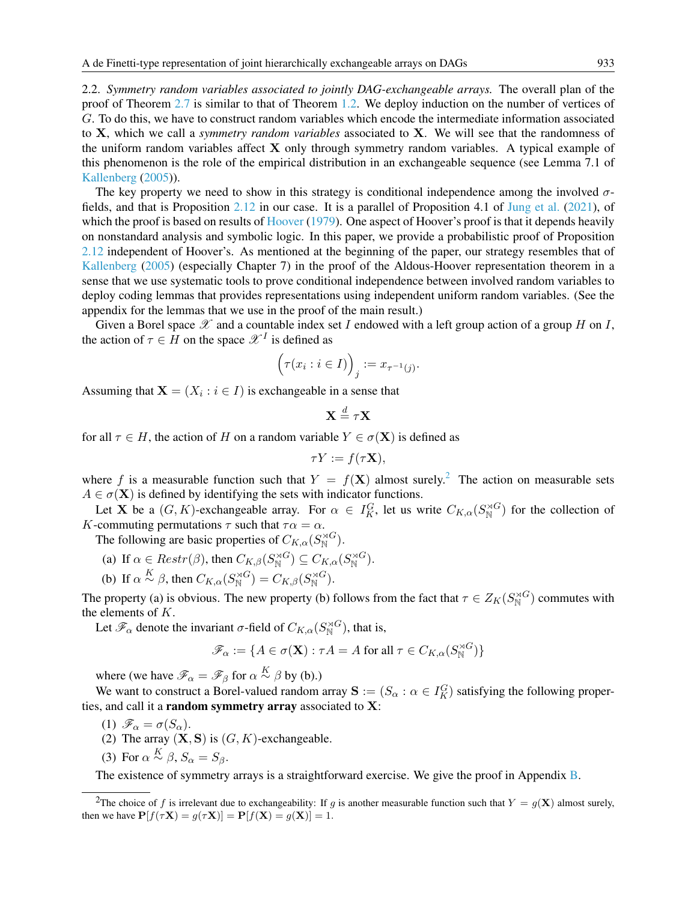<span id="page-8-1"></span>2.2. *Symmetry random variables associated to jointly DAG-exchangeable arrays.* The overall plan of the proof of Theorem [2.7](#page-7-0) is similar to that of Theorem [1.2.](#page-1-1) We deploy induction on the number of vertices of G. To do this, we have to construct random variables which encode the intermediate information associated to X, which we call a *symmetry random variables* associated to X. We will see that the randomness of the uniform random variables affect  $X$  only through symmetry random variables. A typical example of this phenomenon is the role of the empirical distribution in an exchangeable sequence (see Lemma 7.1 of [Kallenberg](#page-17-3) [\(2005\)](#page-17-3)).

The key property we need to show in this strategy is conditional independence among the involved  $\sigma$ fields, and that is Proposition [2.12](#page-9-0) in our case. It is a parallel of Proposition 4.1 of [Jung et al.](#page-17-0) [\(2021\)](#page-17-0), of which the proof is based on results of [Hoover](#page-17-10) [\(1979\)](#page-17-10). One aspect of Hoover's proof is that it depends heavily on nonstandard analysis and symbolic logic. In this paper, we provide a probabilistic proof of Proposition [2.12](#page-9-0) independent of Hoover's. As mentioned at the beginning of the paper, our strategy resembles that of [Kallenberg](#page-17-3) [\(2005\)](#page-17-3) (especially Chapter 7) in the proof of the Aldous-Hoover representation theorem in a sense that we use systematic tools to prove conditional independence between involved random variables to deploy coding lemmas that provides representations using independent uniform random variables. (See the appendix for the lemmas that we use in the proof of the main result.)

Given a Borel space  $\mathscr X$  and a countable index set I endowed with a left group action of a group H on I, the action of  $\tau \in H$  on the space  $\mathscr{X}^I$  is defined as

$$
\left(\tau(x_i : i \in I)\right)_j := x_{\tau^{-1}(j)}.
$$

Assuming that  $X = (X_i : i \in I)$  is exchangeable in a sense that

$$
\mathbf{X} \stackrel{d}{=} \tau \mathbf{X}
$$

for all  $\tau \in H$ , the action of H on a random variable  $Y \in \sigma(\mathbf{X})$  is defined as

$$
\tau Y := f(\tau \mathbf{X}),
$$

where f is a measurable function such that  $Y = f(X)$  almost surely.<sup>[2](#page-8-0)</sup> The action on measurable sets  $A \in \sigma(\mathbf{X})$  is defined by identifying the sets with indicator functions.

Let **X** be a  $(G, K)$ -exchangeable array. For  $\alpha \in I_K^G$ , let us write  $C_{K,\alpha}(S_N^{\rtimes G})$  for the collection of K-commuting permutations  $\tau$  such that  $\tau \alpha = \alpha$ .

The following are basic properties of  $C_{K,\alpha}(S_N^{\rtimes G})$ .

(a) If 
$$
\alpha \in \text{Restr}(\beta)
$$
, then  $C_{K,\beta}(S_N^{\rtimes G}) \subseteq C_{K,\alpha}(S_N^{\rtimes G})$ .

(b) If  $\alpha \stackrel{K}{\sim} \beta$ , then  $C_{K,\alpha}(S_N^{\rtimes G}) = C_{K,\beta}(S_N^{\rtimes G})$ .

The property (a) is obvious. The new property (b) follows from the fact that  $\tau \in Z_K(S_N^{\rtimes G})$  commutes with the elements of K.

Let  $\mathscr{F}_{\alpha}$  denote the invariant  $\sigma$ -field of  $C_{K,\alpha}(S_{\mathbb{N}}^{\rtimes G})$ , that is,

$$
\mathscr{F}_{\alpha} := \{ A \in \sigma(\mathbf{X}) : \tau A = A \text{ for all } \tau \in C_{K,\alpha}(S_{\mathbb{N}}^{\rtimes G}) \}
$$

where (we have  $\mathscr{F}_{\alpha} = \mathscr{F}_{\beta}$  for  $\alpha \stackrel{K}{\sim} \beta$  by (b).)

We want to construct a Borel-valued random array  $S := (S_\alpha : \alpha \in I_K^G)$  satisfying the following properties, and call it a random symmetry array associated to  $X$ :

- (1)  $\mathscr{F}_{\alpha} = \sigma(S_{\alpha}).$
- (2) The array  $(X, S)$  is  $(G, K)$ -exchangeable.
- (3) For  $\alpha \stackrel{K}{\sim} \beta$ ,  $S_{\alpha} = S_{\beta}$ .

The existence of symmetry arrays is a straightforward exercise. We give the proof in Appendix [B.](#page-15-0)

<span id="page-8-0"></span><sup>&</sup>lt;sup>2</sup>The choice of f is irrelevant due to exchangeability: If g is another measurable function such that  $Y = g(\mathbf{X})$  almost surely, then we have  $P[f(\tau \mathbf{X}) = g(\tau \mathbf{X})] = P[f(\mathbf{X}) = g(\mathbf{X})] = 1$ .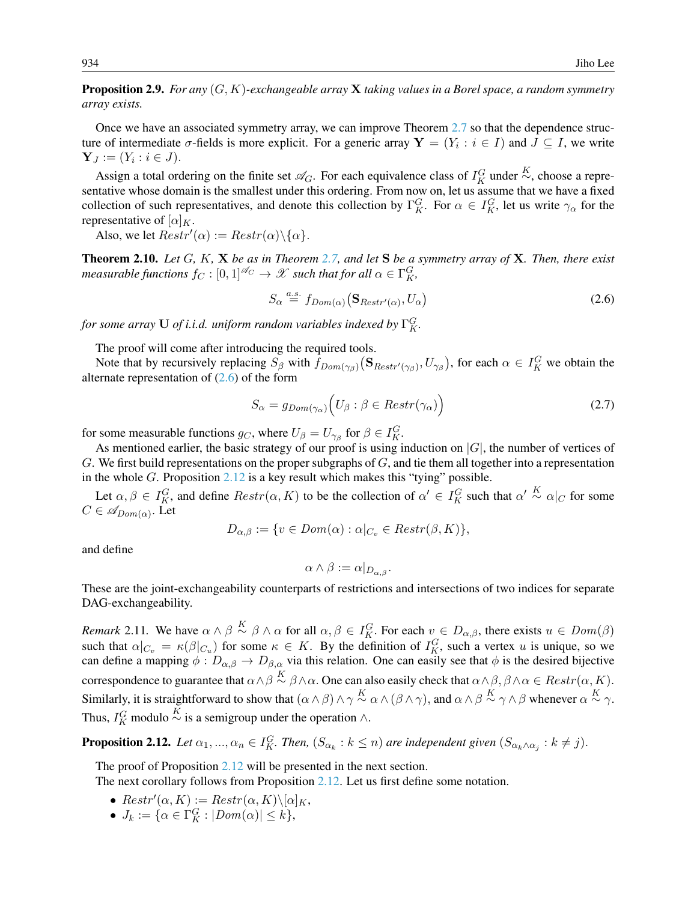<span id="page-9-4"></span>Proposition 2.9. *For any* (G, K)*-exchangeable array* X *taking values in a Borel space, a random symmetry array exists.*

Once we have an associated symmetry array, we can improve Theorem [2.7](#page-7-0) so that the dependence structure of intermediate  $\sigma$ -fields is more explicit. For a generic array  $\mathbf{Y} = (Y_i : i \in I)$  and  $J \subseteq I$ , we write  $Y_J := (Y_i : i \in J).$ 

Assign a total ordering on the finite set  $\mathscr{A}_G$ . For each equivalence class of  $I_K^G$  under  $\stackrel{K}{\sim}$ , choose a representative whose domain is the smallest under this ordering. From now on, let us assume that we have a fixed collection of such representatives, and denote this collection by  $\Gamma_K^G$ . For  $\alpha \in I_K^G$ , let us write  $\gamma_\alpha$  for the representative of  $[\alpha]_K$ .

Also, we let  $Restr'(\alpha) := Restr(\alpha) \setminus {\{\alpha\}}$ .

<span id="page-9-2"></span>Theorem 2.10. *Let* G*,* K*,* X *be as in Theorem [2.7,](#page-7-0) and let* S *be a symmetry array of* X*. Then, there exist*  $measurable$  functions  $f_{C}:[0,1]^{\mathscr{A}_{C}}\rightarrow \mathscr{X}$  such that for all  $\alpha\in\Gamma_{K}^{G},$ 

<span id="page-9-1"></span>
$$
S_{\alpha} \stackrel{a.s.}{=} f_{Dom(\alpha)} (\mathbf{S}_{Restr'(\alpha)}, U_{\alpha})
$$
\n(2.6)

for some array  ${\bf U}$  of i.i.d. uniform random variables indexed by  $\Gamma^G_K.$ 

The proof will come after introducing the required tools.

Note that by recursively replacing  $S_\beta$  with  $f_{Dom(\gamma_\beta)}(S_{Restr'(\gamma_\beta)}, U_{\gamma_\beta})$ , for each  $\alpha \in I_K^G$  we obtain the alternate representation of  $(2.6)$  of the form

<span id="page-9-3"></span>
$$
S_{\alpha} = g_{Dom(\gamma_{\alpha})} \Big( U_{\beta} : \beta \in Restr(\gamma_{\alpha}) \Big) \tag{2.7}
$$

for some measurable functions  $g_C$ , where  $U_\beta = U_{\gamma_\beta}$  for  $\beta \in I_K^G$ .

As mentioned earlier, the basic strategy of our proof is using induction on  $|G|$ , the number of vertices of G. We first build representations on the proper subgraphs of  $G$ , and tie them all together into a representation in the whole  $G$ . Proposition [2.12](#page-9-0) is a key result which makes this "tying" possible.

Let  $\alpha, \beta \in I_K^G$ , and define  $Restr(\alpha, K)$  to be the collection of  $\alpha' \in I_K^G$  such that  $\alpha' \stackrel{K}{\sim} \alpha|_C$  for some  $C \in \mathscr{A}_{Dom(\alpha)}$ . Let

$$
D_{\alpha,\beta} := \{ v \in Dom(\alpha) : \alpha|_{C_v} \in Restr(\beta,K) \},\
$$

and define

$$
\alpha \wedge \beta := \alpha|_{D_{\alpha,\beta}}.
$$

These are the joint-exchangeability counterparts of restrictions and intersections of two indices for separate DAG-exchangeability.

*Remark* 2.11. We have  $\alpha \wedge \beta \stackrel{K}{\sim} \beta \wedge \alpha$  for all  $\alpha, \beta \in I_K^G$ . For each  $v \in D_{\alpha,\beta}$ , there exists  $u \in Dom(\beta)$ such that  $\alpha|_{C_v} = \kappa(\beta|_{C_u})$  for some  $\kappa \in K$ . By the definition of  $I_K^G$ , such a vertex u is unique, so we can define a mapping  $\phi : D_{\alpha,\beta} \to D_{\beta,\alpha}$  via this relation. One can easily see that  $\phi$  is the desired bijective correspondence to guarantee that  $\alpha \wedge \beta \stackrel{K}{\sim} \beta \wedge \alpha$ . One can also easily check that  $\alpha \wedge \beta, \beta \wedge \alpha \in Restr(\alpha, K)$ . Similarly, it is straightforward to show that  $(\alpha \wedge \beta) \wedge \gamma \stackrel{K}{\sim} \alpha \wedge (\beta \wedge \gamma)$ , and  $\alpha \wedge \beta \stackrel{K}{\sim} \gamma \wedge \beta$  whenever  $\alpha \stackrel{K}{\sim} \gamma$ . Thus,  $I_K^G$  modulo  $\stackrel{K}{\sim}$  is a semigroup under the operation ∧.

<span id="page-9-0"></span>**Proposition 2.12.** Let  $\alpha_1, ..., \alpha_n \in I_K^G$ . Then,  $(S_{\alpha_k} : k \leq n)$  are independent given  $(S_{\alpha_k \wedge \alpha_j} : k \neq j)$ .

The proof of Proposition [2.12](#page-9-0) will be presented in the next section.

The next corollary follows from Proposition [2.12.](#page-9-0) Let us first define some notation.

- $Restr'(\alpha, K) := Restr(\alpha, K)\setminus [\alpha]_K$ ,
- $J_k := \{ \alpha \in \Gamma_K^G : |Dom(\alpha)| \leq k \},\$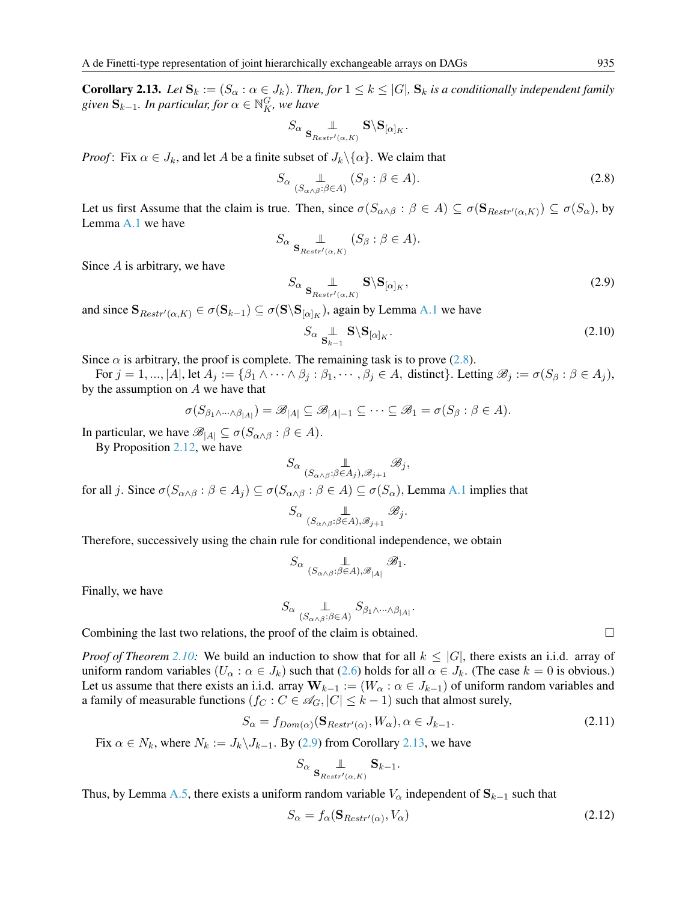<span id="page-10-2"></span>**Corollary 2.13.** *Let*  $\mathbf{S}_k := (S_\alpha : \alpha \in J_k)$ . *Then, for*  $1 \leq k \leq |G|$ ,  $\mathbf{S}_k$  *is a conditionally independent family* given  $\mathbf{S}_{k-1}$ *. In particular, for*  $\alpha \in \mathbb{N}_K^G$ *, we have* 

$$
S_\alpha \underset{\mathbf{S}_{Restr'(\alpha,K)}}{\mathbb{L}} \mathbf{S} \backslash \mathbf{S}_{[\alpha]_K}.
$$

*Proof*: Fix  $\alpha \in J_k$ , and let A be a finite subset of  $J_k \setminus {\alpha}$ . We claim that

<span id="page-10-0"></span>
$$
S_{\alpha} \underset{(S_{\alpha \wedge \beta} : \beta \in A)}{\perp} (S_{\beta} : \beta \in A). \tag{2.8}
$$

Let us first Assume that the claim is true. Then, since  $\sigma(S_{\alpha\wedge\beta}:\beta\in A)\subseteq\sigma(\mathbf{S}_{Restr'(\alpha,K)})\subseteq\sigma(S_{\alpha})$ , by Lemma [A.1](#page-14-0) we have

$$
S_{\alpha} \underset{\mathbf{S}_{Restr'(\alpha,K)}}{\mathbb{L}} (S_{\beta} : \beta \in A).
$$

Since A is arbitrary, we have

<span id="page-10-1"></span>
$$
S_{\alpha} \mathop{\perp}_{\mathbf{S}_{Restr'(\alpha,K)}} \mathbf{S} \backslash \mathbf{S}_{[\alpha]_K},\tag{2.9}
$$

and since  $\mathbf{S}_{Restr'(\alpha,K)} \in \sigma(\mathbf{S}_{k-1}) \subseteq \sigma(\mathbf{S} \backslash \mathbf{S}_{[\alpha]_K})$ , again by Lemma [A.1](#page-14-0) we have

$$
S_{\alpha} \underset{\mathbf{S}_{k-1}}{\perp} \mathbf{S} \backslash \mathbf{S}_{[\alpha]_K}.\tag{2.10}
$$

Since  $\alpha$  is arbitrary, the proof is complete. The remaining task is to prove [\(2.8\)](#page-10-0).

For  $j = 1, ..., |A|$ , let  $A_j := \{\beta_1 \wedge \cdots \wedge \beta_j : \beta_1, ..., \beta_j \in A, \text{ distinct}\}\.$  Letting  $\mathscr{B}_j := \sigma(S_\beta : \beta \in A_j)$ , by the assumption on  $A$  we have that

$$
\sigma(S_{\beta_1\wedge\cdots\wedge\beta_{|A|}})=\mathscr{B}_{|A|}\subseteq\mathscr{B}_{|A|-1}\subseteq\cdots\subseteq\mathscr{B}_1=\sigma(S_{\beta}:\beta\in A).
$$

In particular, we have  $\mathscr{B}_{|A|} \subseteq \sigma(S_{\alpha \wedge \beta} : \beta \in A)$ .

By Proposition [2.12,](#page-9-0) we have

$$
S_{\alpha} \underset{(S_{\alpha \wedge \beta} : \beta \in A_j), \mathscr{B}_{j+1}}{\perp} \mathscr{B}_j,
$$

for all j. Since  $\sigma(S_{\alpha\wedge\beta} : \beta \in A_i) \subseteq \sigma(S_{\alpha\wedge\beta} : \beta \in A) \subseteq \sigma(S_{\alpha})$ , Lemma [A.1](#page-14-0) implies that

$$
S_{\alpha} \underset{(S_{\alpha \wedge \beta} : \beta \in A), \mathscr{B}_{j+1}}{\mathscr{B}} \mathscr{B}_j.
$$

Therefore, successively using the chain rule for conditional independence, we obtain

$$
S_{\alpha}\underbrace{\mathbb{L}}_{(S_{\alpha\wedge\beta}:\beta\in A),\mathscr{B}_{|A|}}\mathscr{B}_1.
$$

Finally, we have

$$
S_{\alpha}\underbrace{\mathbb{L}}_{(S_{\alpha\wedge\beta}:\beta\in A)}S_{\beta_1\wedge\cdots\wedge\beta_{|A|}}.
$$

Combining the last two relations, the proof of the claim is obtained.  $\Box$ 

*Proof of Theorem* [2.10:](#page-9-2) We build an induction to show that for all  $k \leq |G|$ , there exists an i.i.d. array of uniform random variables  $(U_\alpha : \alpha \in J_k)$  such that  $(2.6)$  holds for all  $\alpha \in J_k$ . (The case  $k = 0$  is obvious.) Let us assume that there exists an i.i.d. array  $W_{k-1} := (W_{\alpha} : \alpha \in J_{k-1})$  of uniform random variables and a family of measurable functions  $(f_C : C \in \mathcal{A}_G, |C| \leq k - 1)$  such that almost surely,

<span id="page-10-4"></span>
$$
S_{\alpha} = f_{Dom(\alpha)}(\mathbf{S}_{Restr'(\alpha)}, W_{\alpha}), \alpha \in J_{k-1}.
$$
\n(2.11)

Fix  $\alpha \in N_k$ , where  $N_k := J_k \backslash J_{k-1}$ . By [\(2.9\)](#page-10-1) from Corollary [2.13,](#page-10-2) we have

$$
S_{\alpha}\underbrace{\mathbb{L}}_{\mathbf{S}_{Restr'(\alpha,K)}}\mathbf{S}_{k-1}.
$$

Thus, by Lemma [A.5,](#page-14-1) there exists a uniform random variable  $V_\alpha$  independent of  $S_{k-1}$  such that

<span id="page-10-3"></span>
$$
S_{\alpha} = f_{\alpha}(\mathbf{S}_{Restr'(\alpha)}, V_{\alpha})
$$
\n(2.12)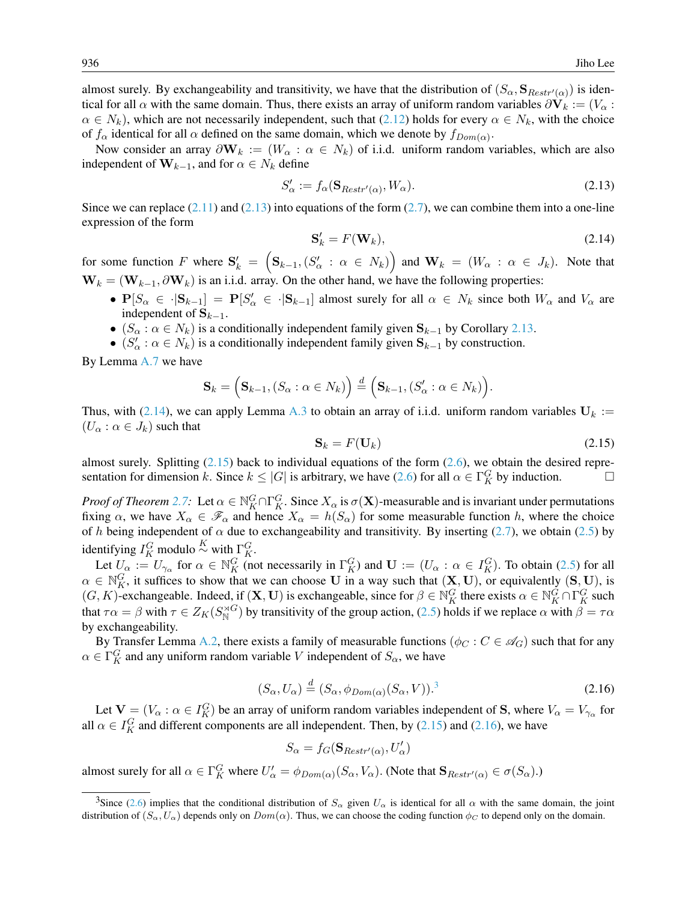almost surely. By exchangeability and transitivity, we have that the distribution of  $(S_\alpha, \mathbf{S}_{Restr'(\alpha)})$  is identical for all  $\alpha$  with the same domain. Thus, there exists an array of uniform random variables  $\partial V_k := (V_\alpha :$  $\alpha \in N_k$ ), which are not necessarily independent, such that [\(2.12\)](#page-10-3) holds for every  $\alpha \in N_k$ , with the choice of  $f_{\alpha}$  identical for all  $\alpha$  defined on the same domain, which we denote by  $f_{Dom(\alpha)}$ .

Now consider an array  $\partial \mathbf{W}_k := (W_\alpha : \alpha \in N_k)$  of i.i.d. uniform random variables, which are also independent of  $\mathbf{W}_{k-1}$ , and for  $\alpha \in N_k$  define

<span id="page-11-0"></span>
$$
S'_{\alpha} := f_{\alpha}(\mathbf{S}_{Restr'(\alpha)}, W_{\alpha}).
$$
\n(2.13)

Since we can replace  $(2.11)$  and  $(2.13)$  into equations of the form  $(2.7)$ , we can combine them into a one-line expression of the form

<span id="page-11-1"></span>
$$
\mathbf{S}'_k = F(\mathbf{W}_k),\tag{2.14}
$$

for some function F where  $S'_k = (S_{k-1}, (S'_\alpha : \alpha \in N_k))$  and  $W_k = (W_\alpha : \alpha \in J_k)$ . Note that  $W_k = (W_{k-1}, \partial W_k)$  is an i.i.d. array. On the other hand, we have the following properties:

- $P[S_\alpha \in \cdot | S_{k-1}] = P[S'_\alpha \in \cdot | S_{k-1}]$  almost surely for all  $\alpha \in N_k$  since both  $W_\alpha$  and  $V_\alpha$  are independent of  $\mathbf{S}_{k-1}$ .
- $(S_\alpha : \alpha \in N_k)$  is a conditionally independent family given  $S_{k-1}$  by Corollary [2.13.](#page-10-2)
- $(S'_{\alpha}: \alpha \in N_k)$  is a conditionally independent family given  $S_{k-1}$  by construction.

By Lemma [A.7](#page-14-2) we have

$$
\mathbf{S}_k = \left(\mathbf{S}_{k-1}, (S_{\alpha}: \alpha \in N_k)\right) \stackrel{d}{=} \left(\mathbf{S}_{k-1}, (S'_{\alpha}: \alpha \in N_k)\right).
$$

Thus, with [\(2.14\)](#page-11-1), we can apply Lemma [A.3](#page-14-3) to obtain an array of i.i.d. uniform random variables  $U_k :=$  $(U_{\alpha}: \alpha \in J_k)$  such that

<span id="page-11-2"></span>
$$
\mathbf{S}_k = F(\mathbf{U}_k) \tag{2.15}
$$

almost surely. Splitting  $(2.15)$  back to individual equations of the form  $(2.6)$ , we obtain the desired representation for dimension k. Since  $k \leq |G|$  is arbitrary, we have [\(2.6\)](#page-9-1) for all  $\alpha \in \Gamma_K^G$  by induction.

*Proof of Theorem [2.7:](#page-7-0)* Let  $\alpha \in \mathbb{N}_K^G \cap \Gamma_K^G$ . Since  $X_\alpha$  is  $\sigma(\mathbf{X})$ -measurable and is invariant under permutations fixing  $\alpha$ , we have  $X_{\alpha} \in \mathscr{F}_{\alpha}$  and hence  $X_{\alpha} = h(S_{\alpha})$  for some measurable function h, where the choice of h being independent of  $\alpha$  due to exchangeability and transitivity. By inserting [\(2.7\)](#page-9-3), we obtain [\(2.5\)](#page-7-1) by identifying  $I_K^G$  modulo  $\stackrel{K}{\sim}$  with  $\Gamma_K^G$ .

Let  $U_{\alpha} := U_{\gamma_{\alpha}}$  for  $\alpha \in \mathbb{N}_{K}^{G}$  (not necessarily in  $\Gamma_{K}^{G}$ ) and  $\mathbf{U} := (U_{\alpha} : \alpha \in I_{K}^{G})$ . To obtain [\(2.5\)](#page-7-1) for all  $\alpha \in \mathbb{N}_K^G$ , it suffices to show that we can choose U in a way such that  $(\mathbf{X}, \mathbf{U})$ , or equivalently  $(\mathbf{S}, \mathbf{U})$ , is  $(G, K)$ -exchangeable. Indeed, if  $(X, U)$  is exchangeable, since for  $\beta \in \mathbb{N}_K^G$  there exists  $\alpha \in \mathbb{N}_K^G \cap \Gamma_K^G$  such that  $\tau \alpha = \beta$  with  $\tau \in Z_K(S_N^{\rtimes G})$  by transitivity of the group action, [\(2.5\)](#page-7-1) holds if we replace  $\alpha$  with  $\beta = \tau \alpha$ by exchangeability.

By Transfer Lemma [A.2,](#page-14-4) there exists a family of measurable functions ( $\phi_C : C \in \mathscr{A}_G$ ) such that for any  $\alpha \in \Gamma_K^G$  and any uniform random variable V independent of  $S_\alpha$ , we have

<span id="page-11-4"></span>
$$
(S_{\alpha}, U_{\alpha}) \stackrel{d}{=} (S_{\alpha}, \phi_{Dom(\alpha)}(S_{\alpha}, V)).^{3}
$$
\n(2.16)

Let  $V = (V_\alpha : \alpha \in I_K^G)$  be an array of uniform random variables independent of S, where  $V_\alpha = V_{\gamma_\alpha}$  for all  $\alpha \in I_K^G$  and different components are all independent. Then, by [\(2.15\)](#page-11-2) and [\(2.16\)](#page-11-4), we have

$$
S_{\alpha} = f_G(\mathbf{S}_{Restr'(\alpha)}, U'_{\alpha})
$$

almost surely for all  $\alpha \in \Gamma_K^G$  where  $U'_\alpha = \phi_{Dom(\alpha)}(S_\alpha, V_\alpha)$ . (Note that  $\mathbf{S}_{Restr'(\alpha)} \in \sigma(S_\alpha)$ .)

<span id="page-11-3"></span><sup>&</sup>lt;sup>3</sup>Since [\(2.6\)](#page-9-1) implies that the conditional distribution of  $S_\alpha$  given  $U_\alpha$  is identical for all  $\alpha$  with the same domain, the joint distribution of  $(S_\alpha, U_\alpha)$  depends only on  $Dom(\alpha)$ . Thus, we can choose the coding function  $\phi_C$  to depend only on the domain.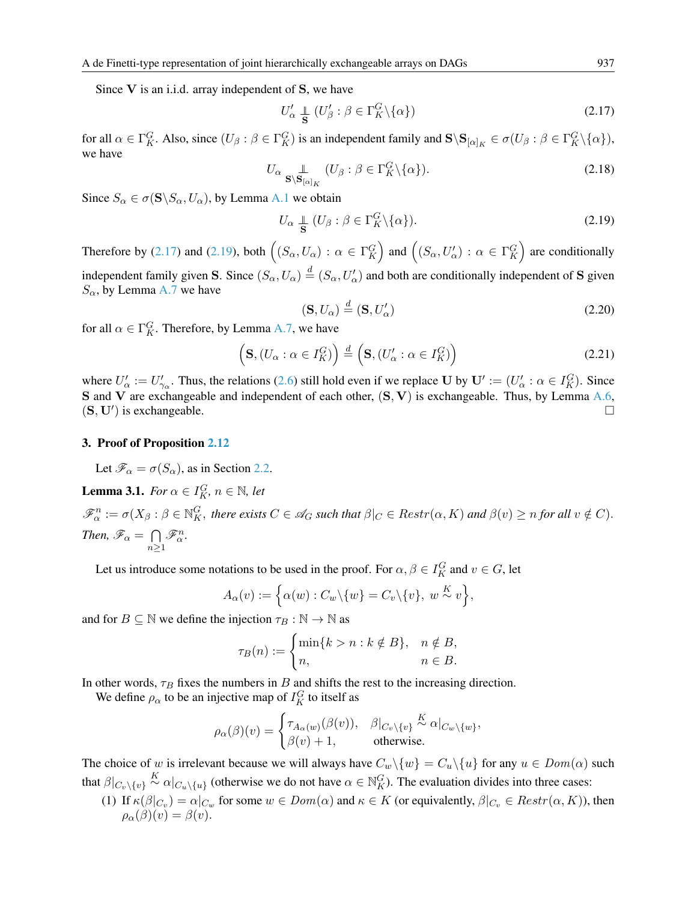Since  $V$  is an i.i.d. array independent of  $S$ , we have

<span id="page-12-0"></span>
$$
U'_{\alpha} \perp_{\mathbf{S}} (U'_{\beta} : \beta \in \Gamma_K^G \backslash \{\alpha\})
$$
\n(2.17)

for all  $\alpha \in \Gamma_K^G$ . Also, since  $(U_\beta : \beta \in \Gamma_K^G)$  is an independent family and  $\mathbf{S} \setminus \mathbf{S}_{[\alpha]_K} \in \sigma(U_\beta : \beta \in \Gamma_K^G \setminus {\{\alpha\}})$ , we have

$$
U_{\alpha} \underset{\mathbf{S} \backslash \mathbf{S}_{[\alpha]_K}}{\mathbb{L}} (U_{\beta} : \beta \in \Gamma_K^G \backslash \{\alpha\}). \tag{2.18}
$$

Since  $S_{\alpha} \in \sigma(\mathbf{S} \backslash S_{\alpha}, U_{\alpha})$ , by Lemma [A.1](#page-14-0) we obtain

<span id="page-12-1"></span>
$$
U_{\alpha} \perp \!\!\!\!\perp (U_{\beta} : \beta \in \Gamma_K^G \backslash \{\alpha\}). \tag{2.19}
$$

Therefore by [\(2.17\)](#page-12-0) and [\(2.19\)](#page-12-1), both  $((S_\alpha, U_\alpha) : \alpha \in \Gamma^G_K)$  and  $((S_\alpha, U'_\alpha) : \alpha \in \Gamma^G_K)$  are conditionally independent family given S. Since  $(S_\alpha, U_\alpha) \stackrel{d}{=} (S_\alpha, U'_\alpha)$  and both are conditionally independent of S given  $S_{\alpha}$ , by Lemma [A.7](#page-14-2) we have

$$
(\mathbf{S}, U_{\alpha}) \stackrel{d}{=} (\mathbf{S}, U_{\alpha}')
$$
 (2.20)

for all  $\alpha \in \Gamma_K^G$ . Therefore, by Lemma [A.7,](#page-14-2) we have

$$
\left(\mathbf{S}, (U_{\alpha} : \alpha \in I_K^G) \right) \stackrel{d}{=} \left(\mathbf{S}, (U_{\alpha}': \alpha \in I_K^G) \right) \tag{2.21}
$$

where  $U'_\alpha := U'_{\gamma_\alpha}$ . Thus, the relations [\(2.6\)](#page-9-1) still hold even if we replace U by  $\mathbf{U}' := (U'_\alpha : \alpha \in I_K^G)$ . Since S and V are exchangeable and independent of each other,  $(S, V)$  is exchangeable. Thus, by Lemma [A.6,](#page-14-5)  $(S, U')$  is exchangeable.

#### 3. Proof of Proposition [2.12](#page-9-0)

Let  $\mathscr{F}_{\alpha} = \sigma(S_{\alpha})$ , as in Section [2.2.](#page-8-1)

<span id="page-12-2"></span>**Lemma 3.1.** For 
$$
\alpha \in I_K^G
$$
,  $n \in \mathbb{N}$ , let

 $\mathscr{F}_{\alpha}^{n}:=\sigma(X_{\beta}: \beta\in\mathbb{N}_{K}^{G},$  there exists  $C\in\mathscr{A}_{G}$  such that  $\beta|_{C}\in$   $Restr(\alpha,K)$  and  $\beta(v)\geq n$  for all  $v\notin C$ ). *Then,*  $\mathscr{F}_{\alpha} = \bigcap$  $n \geq 1$  $\mathscr{F}_{\alpha}^n$ .

Let us introduce some notations to be used in the proof. For  $\alpha, \beta \in I_K^G$  and  $v \in G$ , let

$$
A_{\alpha}(v) := \Big\{\alpha(w) : C_w \backslash \{w\} = C_v \backslash \{v\}, \ w \stackrel{K}{\sim} v\Big\},\
$$

and for  $B \subseteq \mathbb{N}$  we define the injection  $\tau_B : \mathbb{N} \to \mathbb{N}$  as

$$
\tau_B(n) := \begin{cases} \min\{k > n : k \notin B\}, & n \notin B, \\ n, & n \in B. \end{cases}
$$

In other words,  $\tau_B$  fixes the numbers in B and shifts the rest to the increasing direction.

We define  $\rho_{\alpha}$  to be an injective map of  $I_K^G$  to itself as

$$
\rho_{\alpha}(\beta)(v) = \begin{cases} \tau_{A_{\alpha}(w)}(\beta(v)), & \beta|_{C_v \setminus \{v\}} \stackrel{K}{\sim} \alpha|_{C_w \setminus \{w\}}, \\ \beta(v) + 1, & \text{otherwise.} \end{cases}
$$

The choice of w is irrelevant because we will always have  $C_w \setminus \{w\} = C_u \setminus \{u\}$  for any  $u \in Dom(\alpha)$  such that  $\beta|_{C_v\backslash\{v\}} \stackrel{K}{\sim} \alpha|_{C_u\backslash\{u\}}$  (otherwise we do not have  $\alpha \in \mathbb{N}_K^G$ ). The evaluation divides into three cases:

(1) If  $\kappa(\beta|_{C_v}) = \alpha|_{C_w}$  for some  $w \in Dom(\alpha)$  and  $\kappa \in K$  (or equivalently,  $\beta|_{C_v} \in Restr(\alpha, K)$ ), then  $\rho_{\alpha}(\beta)(v) = \beta(v).$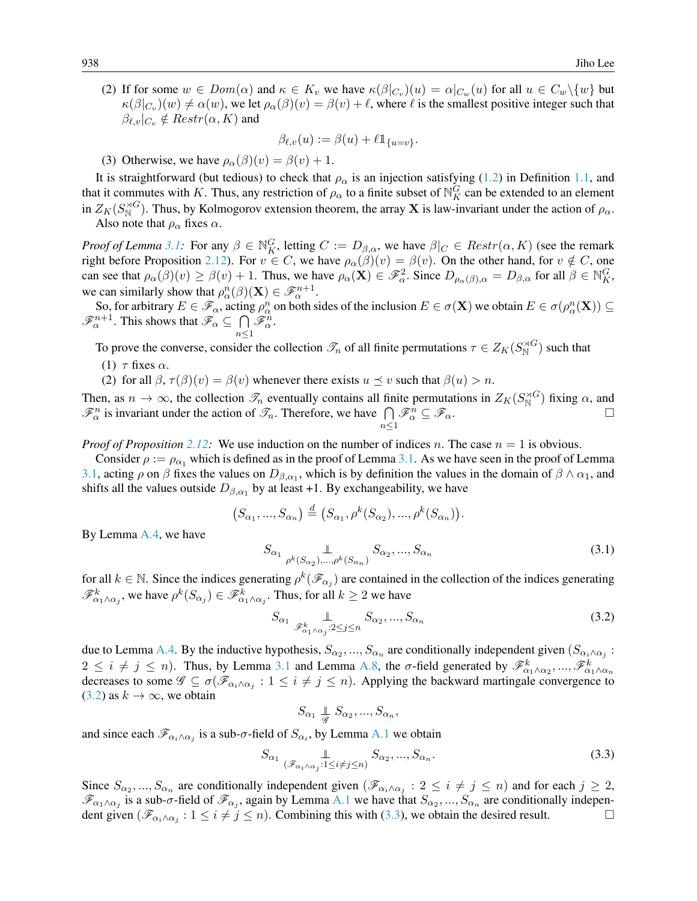(2) If for some  $w \in Dom(\alpha)$  and  $\kappa \in K_v$  we have  $\kappa(\beta|_{C_v})(u) = \alpha|_{C_w}(u)$  for all  $u \in C_w\backslash\{w\}$  but  $\kappa(\beta|_{C_v})(w) \neq \alpha(w)$ , we let  $\rho_\alpha(\beta)(v) = \beta(v) + \ell$ , where  $\ell$  is the smallest positive integer such that  $\beta_{\ell,v}|_{C_v} \notin$   $Restr(\alpha, K)$  and

$$
\beta_{\ell,v}(u) := \beta(u) + \ell \mathbb{1}_{\{u=v\}}.
$$

(3) Otherwise, we have  $\rho_{\alpha}(\beta)(v) = \beta(v) + 1$ .

It is straightforward (but tedious) to check that  $\rho_{\alpha}$  is an injection satisfying [\(1.2\)](#page-1-4) in Definition [1.1,](#page-1-3) and that it commutes with K. Thus, any restriction of  $\rho_\alpha$  to a finite subset of  $\mathbb{N}_K^G$  can be extended to an element in  $Z_K(S_N^{\rtimes G})$ . Thus, by Kolmogorov extension theorem, the array **X** is law-invariant under the action of  $\rho_\alpha$ . Also note that  $\rho_{\alpha}$  fixes  $\alpha$ .

*Proof of Lemma* [3.1:](#page-12-2) For any  $\beta \in \mathbb{N}_K^G$ , letting  $C := D_{\beta,\alpha}$ , we have  $\beta|_C \in$  *Restr* $(\alpha, K)$  (see the remark right before Proposition [2.12\)](#page-9-0). For  $v \in C$ , we have  $\rho_{\alpha}(\beta)(v) = \beta(v)$ . On the other hand, for  $v \notin C$ , one can see that  $\rho_{\alpha}(\beta)(v) \ge \beta(v) + 1$ . Thus, we have  $\rho_{\alpha}(\mathbf{X}) \in \mathcal{F}_{\alpha}^2$ . Since  $D_{\rho_{\alpha}(\beta),\alpha} = D_{\beta,\alpha}$  for all  $\beta \in \mathbb{N}_K^G$ , we can similarly show that  $\rho_{\alpha}^n(\beta)(\mathbf{X}) \in \mathscr{F}_{\alpha}^{n+1}$ .

So, for arbitrary  $E \in \mathscr{F}_{\alpha}$ , acting  $\rho^n_{\alpha}$  on both sides of the inclusion  $E \in \sigma(\mathbf{X})$  we obtain  $E \in \sigma(\rho^n_{\alpha}(\mathbf{X})) \subseteq$  $\mathscr{F}_{\alpha}^{n+1}$ . This shows that  $\mathscr{F}_{\alpha} \subseteq \bigcap$  $n \leq 1$  $\mathscr{F}_{\alpha}^n$ .

To prove the converse, consider the collection  $\mathcal{T}_n$  of all finite permutations  $\tau \in Z_K(S_N^{\rtimes G})$  such that

- (1)  $\tau$  fixes  $\alpha$ .
- (2) for all  $\beta$ ,  $\tau(\beta)(v) = \beta(v)$  whenever there exists  $u \le v$  such that  $\beta(u) > n$ .

Then, as  $n \to \infty$ , the collection  $\mathcal{T}_n$  eventually contains all finite permutations in  $Z_K(S_N^{\rtimes G})$  fixing  $\alpha$ , and  $\mathcal{F}_{\alpha}^{n}$  is invariant under the action of  $\mathcal{I}_{n}$ . Therefore, we have  $\bigcap_{n\leq 1}$  $\mathscr{F}_{\alpha}^{\hat{n}} \subseteq \mathscr{F}_{\alpha}.$ 

*Proof of Proposition* [2.12:](#page-9-0) We use induction on the number of indices n. The case  $n = 1$  is obvious.

Consider  $\rho := \rho_{\alpha_1}$  which is defined as in the proof of Lemma [3.1.](#page-12-2) As we have seen in the proof of Lemma [3.1,](#page-12-2) acting  $\rho$  on  $\beta$  fixes the values on  $D_{\beta,\alpha_1}$ , which is by definition the values in the domain of  $\beta \wedge \alpha_1$ , and shifts all the values outside  $D_{\beta,\alpha_1}$  by at least +1. By exchangeability, we have

$$
(S_{\alpha_1},...,S_{\alpha_n}) \stackrel{d}{=} (S_{\alpha_1}, \rho^k(S_{\alpha_2}),...,\rho^k(S_{\alpha_n})).
$$

By Lemma [A.4,](#page-14-6) we have

$$
S_{\alpha_1} \underset{\rho^k(S_{\alpha_2}), \dots, \rho^k(S_{\alpha_n})}{\mathbb{L}} S_{\alpha_2}, \dots, S_{\alpha_n}
$$
\n(3.1)

for all  $k \in \mathbb{N}$ . Since the indices generating  $\rho^k(\mathscr{F}_{\alpha_j})$  are contained in the collection of the indices generating  $\mathscr{F}^k_{\alpha_1\wedge\alpha_j}$ , we have  $\rho^k(S_{\alpha_j})\in \mathscr{F}^k_{\alpha_1\wedge\alpha_j}$ . Thus, for all  $k\geq 2$  we have

<span id="page-13-0"></span>
$$
S_{\alpha_1} \underset{\mathcal{F}_{\alpha_1 \wedge \alpha_j}^k: 2 \le j \le n}{\perp} S_{\alpha_2}, ..., S_{\alpha_n}
$$
\n
$$
(3.2)
$$

due to Lemma [A.4.](#page-14-6) By the inductive hypothesis,  $S_{\alpha_2},...,S_{\alpha_n}$  are conditionally independent given  $(S_{\alpha_i\wedge\alpha_j}$ :  $2 \leq i \neq j \leq n$ ). Thus, by Lemma [3.1](#page-12-2) and Lemma [A.8,](#page-15-1) the  $\sigma$ -field generated by  $\mathscr{F}^k_{\alpha_1 \wedge \alpha_2}, ..., \mathscr{F}^k_{\alpha_1 \wedge \alpha_n}$ decreases to some  $\mathscr{G} \subseteq \sigma(\mathscr{F}_{\alpha_i \wedge \alpha_j}: 1 \leq i \neq j \leq n)$ . Applying the backward martingale convergence to  $(3.2)$  as  $k \rightarrow \infty$ , we obtain

$$
S_{\alpha_1} \underset{\mathcal{G}}{\perp} S_{\alpha_2},...,S_{\alpha_n},
$$

and since each  $\mathscr{F}_{\alpha_i \wedge \alpha_j}$  is a sub- $\sigma$ -field of  $S_{\alpha_i}$ , by Lemma [A.1](#page-14-0) we obtain

<span id="page-13-1"></span>
$$
S_{\alpha_1} \underset{(\mathscr{F}_{\alpha_i \wedge \alpha_j}:1 \leq i \neq j \leq n)}{\perp} S_{\alpha_2}, \dots, S_{\alpha_n}.
$$
\n(3.3)

Since  $S_{\alpha_2},...,S_{\alpha_n}$  are conditionally independent given  $(\mathscr{F}_{\alpha_i \wedge \alpha_j}: 2 \leq i \neq j \leq n)$  and for each  $j \geq 2$ ,  $\mathscr{F}_{\alpha_1\wedge\alpha_j}$  is a sub- $\sigma$ -field of  $\mathscr{F}_{\alpha_j}$ , again by Lemma [A.1](#page-14-0) we have that  $S_{\alpha_2},...,S_{\alpha_n}$  are conditionally independent given  $(\mathscr{F}_{\alpha_i \wedge \alpha_j}: 1 \leq i \neq j \leq n)$ . Combining this with [\(3.3\)](#page-13-1), we obtain the desired result.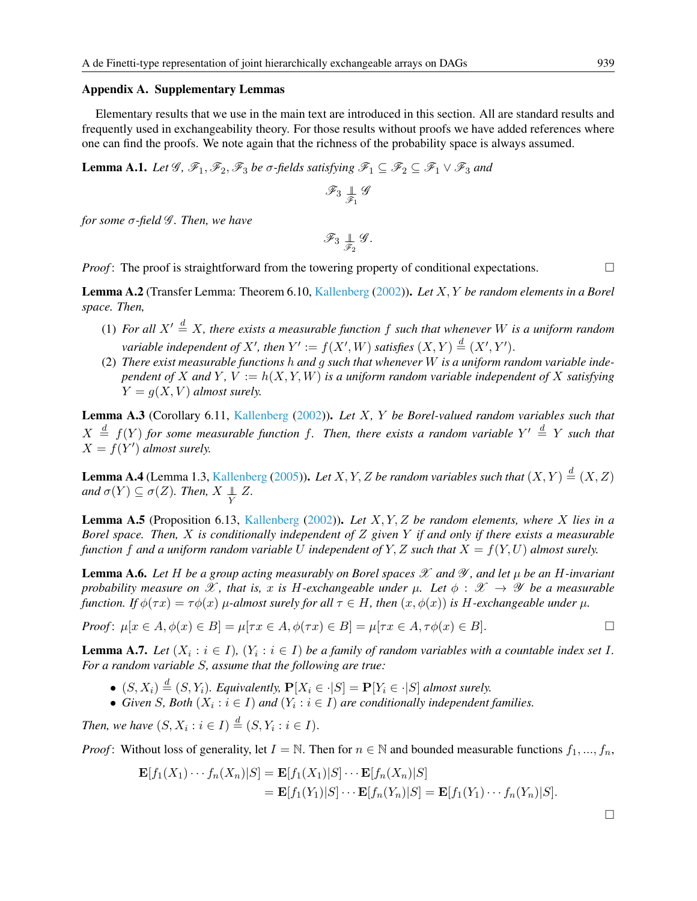#### Appendix A. Supplementary Lemmas

Elementary results that we use in the main text are introduced in this section. All are standard results and frequently used in exchangeability theory. For those results without proofs we have added references where one can find the proofs. We note again that the richness of the probability space is always assumed.

<span id="page-14-0"></span>**Lemma A.1.** *Let*  $\mathscr{G}, \mathscr{F}_1, \mathscr{F}_2, \mathscr{F}_3$  *be*  $\sigma$ -fields satisfying  $\mathscr{F}_1 \subseteq \mathscr{F}_2 \subseteq \mathscr{F}_1 \vee \mathscr{F}_3$  and

$$
\mathscr{F}_3 \mathop{\perp\hspace{1mm}}_{\mathscr{F}_1} \mathscr{G}
$$

*for some* σ*-field* G *. Then, we have*

$$
\mathscr{F}_3 \mathop{\perp\hspace{1mm}}_{\mathscr{F}_2} \mathscr{G}.
$$

*Proof*: The proof is straightforward from the towering property of conditional expectations.

<span id="page-14-4"></span>Lemma A.2 (Transfer Lemma: Theorem 6.10, [Kallenberg](#page-17-11) [\(2002\)](#page-17-11)). *Let* X, Y *be random elements in a Borel space. Then,*

- (1) For all  $X' \stackrel{d}{=} X$ , there exists a measurable function f such that whenever W is a uniform random *variable independent of*  $X'$ , then  $Y' := f(X', W)$  *satisfies*  $(X, Y) \stackrel{d}{=} (X', Y')$ .
- (2) *There exist measurable functions* h *and* g *such that whenever* W *is a uniform random variable independent of* X and Y,  $V := h(X, Y, W)$  *is a uniform random variable independent of* X *satisfying*  $Y = g(X, V)$  *almost surely.*

<span id="page-14-3"></span>Lemma A.3 (Corollary 6.11, [Kallenberg](#page-17-11) [\(2002\)](#page-17-11)). *Let* X*,* Y *be Borel-valued random variables such that*  $X \stackrel{d}{=} f(Y)$  for some measurable function f. Then, there exists a random variable  $Y' \stackrel{d}{=} Y$  such that  $X = f(Y')$  almost surely.

<span id="page-14-6"></span>**Lemma A.4** (Lemma 1.3, [Kallenberg](#page-17-3) [\(2005\)](#page-17-3)). Let X, Y, Z be random variables such that  $(X, Y) \stackrel{d}{=} (X, Z)$  $and \sigma(Y) \subseteq \sigma(Z)$ *. Then,*  $X \perp Y \perp Z$ *.* 

<span id="page-14-1"></span>Lemma A.5 (Proposition 6.13, [Kallenberg](#page-17-11) [\(2002\)](#page-17-11)). *Let* X, Y, Z *be random elements, where* X *lies in a Borel space. Then,* X *is conditionally independent of* Z *given* Y *if and only if there exists a measurable function* f and a uniform random variable U independent of Y, Z such that  $X = f(Y, U)$  almost surely.

<span id="page-14-5"></span>**Lemma A.6.** Let H be a group acting measurably on Borel spaces  $\mathcal X$  and  $\mathcal Y$ , and let  $\mu$  be an H-invariant *probability measure on*  $\mathscr X$ , that is, x is H-exchangeable under  $\mu$ . Let  $\phi : \mathscr X \to \mathscr Y$  be a measurable *function. If*  $\phi(\tau x) = \tau \phi(x) \mu$ -almost surely for all  $\tau \in H$ , then  $(x, \phi(x))$  is H-exchangeable under  $\mu$ .

*Proof*: 
$$
\mu[x \in A, \phi(x) \in B] = \mu[\tau x \in A, \phi(\tau x) \in B] = \mu[\tau x \in A, \tau \phi(x) \in B].
$$

<span id="page-14-2"></span>**Lemma A.7.** Let  $(X_i : i \in I)$ ,  $(Y_i : i \in I)$  be a family of random variables with a countable index set I. *For a random variable* S*, assume that the following are true:*

- $(S, X_i) \stackrel{d}{=} (S, Y_i)$ *. Equivalently,*  $P[X_i \in \cdot | S] = P[Y_i \in \cdot | S]$  *almost surely.*
- Given *S*, Both  $(X_i : i \in I)$  and  $(Y_i : i \in I)$  are conditionally independent families.

*Then, we have*  $(S, X_i : i \in I) \stackrel{d}{=} (S, Y_i : i \in I)$ .

*Proof*: Without loss of generality, let  $I = \mathbb{N}$ . Then for  $n \in \mathbb{N}$  and bounded measurable functions  $f_1, ..., f_n$ ,

$$
\mathbf{E}[f_1(X_1)\cdots f_n(X_n)|S] = \mathbf{E}[f_1(X_1)|S] \cdots \mathbf{E}[f_n(X_n)|S]
$$
  
= 
$$
\mathbf{E}[f_1(Y_1)|S] \cdots \mathbf{E}[f_n(Y_n)|S] = \mathbf{E}[f_1(Y_1)\cdots f_n(Y_n)|S].
$$

 $\Box$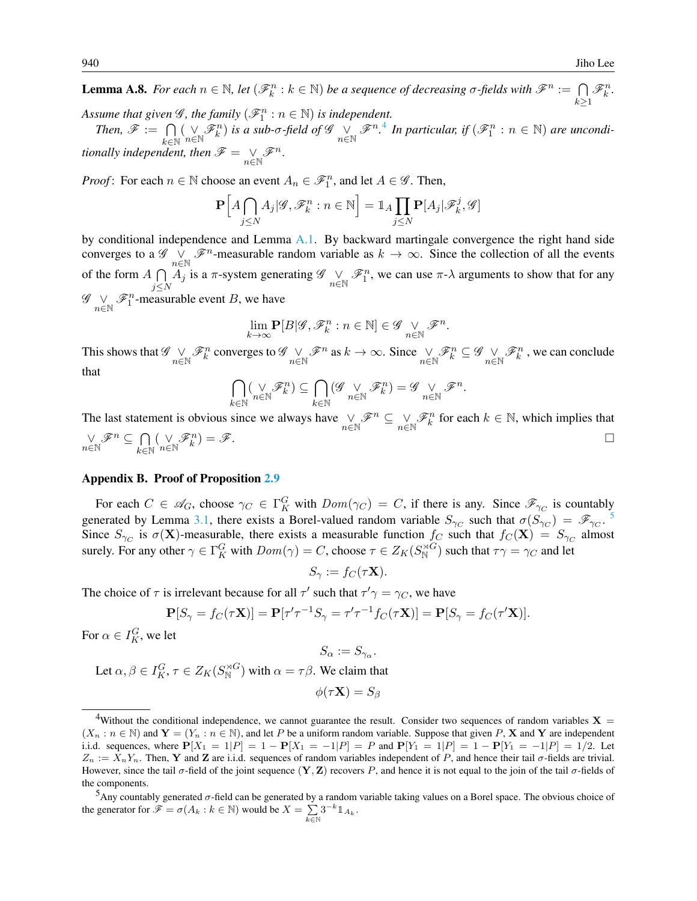<span id="page-15-1"></span>**Lemma A.8.** *For each*  $n \in \mathbb{N}$ , *let*  $(\mathcal{F}_k^n : k \in \mathbb{N})$  *be a sequence of decreasing*  $\sigma$ -fields with  $\mathcal{F}^n := \bigcap$  $k\succeq1$  $\mathscr{F}_k^n$ . Assume that given  $\mathscr{G}$ , the family  $(\mathscr{F}^n_1 : n \in \mathbb{N})$  is independent.

*Then,*  $\mathscr{F} := \bigcap$  $k \in \mathbb{N}$  $(\bigvee_{n\in\mathbb{N}}\mathscr{F}_{k}^{n})$  is a sub- $\sigma$ -field of  $\mathscr{G}$   $\bigvee_{n\in\mathbb{N}}\mathscr{F}^{n}$ .<sup>[4](#page-15-2)</sup> In particular, if  $(\mathscr{F}_{1}^{n}:n\in\mathbb{N})$  are uncondi*tionally independent, then*  $\mathscr{F} = \bigvee_{n \in \mathbb{N}} \mathscr{F}^n$ .

*Proof*: For each  $n \in \mathbb{N}$  choose an event  $A_n \in \mathcal{F}_1^n$ , and let  $A \in \mathcal{G}$ . Then,

$$
\mathbf{P}\Big[A\bigcap_{j\leq N}A_j|\mathcal{G},\mathcal{F}_k^n:n\in\mathbb{N}\Big]=\mathbb{1}_A\prod_{j\leq N}\mathbf{P}[A_j|\mathcal{F}_k^j,\mathcal{G}]
$$

by conditional independence and Lemma [A.1.](#page-14-0) By backward martingale convergence the right hand side converges to a  $\mathscr{G}$   $\bigvee_{n\in\mathbb{N}}\mathscr{F}^n$ -measurable random variable as  $k\to\infty$ . Since the collection of all the events of the form  $A \cap$  $j \leq N$  $\overline{A}_j$  is a  $\pi$ -system generating  $\mathscr{G} \vee_{n \in \mathbb{N}} \mathscr{F}_1^n$ , we can use  $\pi$ - $\lambda$  arguments to show that for any  $\mathscr{G} \underset{n \in \mathbb{N}}{\vee} \mathscr{F}_1^n$ -measurable event B, we have

$$
\lim_{k\rightarrow\infty} {\bf P}[B|{\mathscr{G}}, {\mathscr{F}}^n_k: n\in{\mathbb N}] \in {\mathscr{G}} \underset{n\in{\mathbb N}}{\vee} {\mathscr{F}}^n.
$$

This shows that  $\mathscr{G} \underset{n \in \mathbb{N}}{\vee} \mathscr{F}_k^n$  converges to  $\mathscr{G} \underset{n \in \mathbb{N}}{\vee} \mathscr{F}_n^n$  as  $k \to \infty$ . Since  $\underset{n \in \mathbb{N}}{\vee} \mathscr{F}_k^n \subseteq \mathscr{G} \underset{n \in \mathbb{N}}{\vee} \mathscr{F}_k^n$ , we can conclude that

$$
\bigcap_{k\in\mathbb{N}}(\underset{n\in\mathbb{N}}{\vee}\mathscr{F}^n_k)\subseteq\bigcap_{k\in\mathbb{N}}(\mathscr{G}\underset{n\in\mathbb{N}}{\vee}\mathscr{F}^n_k)=\mathscr{G}\underset{n\in\mathbb{N}}{\vee}\mathscr{F}^n.
$$

The last statement is obvious since we always have  $\bigvee_{n\in\mathbb{N}} \mathscr{F}^n \subseteq \bigvee_{n\in\mathbb{N}} \mathscr{F}^n_k$  for each  $k \in \mathbb{N}$ , which implies that  $\bigvee_{n\in\mathbb{N}}\mathscr{F}^n\subseteq\bigcap_{k\in\mathbb{N}}$  $k \in \mathbb{N}$  $(\underset{n\in\mathbb{N}}{\vee}\mathscr{F}^n_k$  $) = \mathscr{F}.$ 

#### <span id="page-15-0"></span>Appendix B. Proof of Proposition [2.9](#page-9-4)

For each  $C \in \mathscr{A}_G$ , choose  $\gamma_C \in \Gamma_K^G$  with  $Dom(\gamma_C) = C$ , if there is any. Since  $\mathscr{F}_{\gamma_C}$  is countably generated by Lemma [3.1,](#page-12-2) there exists a Borel-valued random variable  $S_{\gamma_C}$  such that  $\sigma(S_{\gamma_C}) = \mathscr{F}_{\gamma_C}$ . [5](#page-15-3) Since  $S_{\gamma_C}$  is  $\sigma(\mathbf{X})$ -measurable, there exists a measurable function  $f_C$  such that  $f_C(\mathbf{X}) = S_{\gamma_C}$  almost surely. For any other  $\gamma \in \Gamma_K^G$  with  $Dom(\gamma) = C$ , choose  $\tau \in Z_K(S_N^{\rtimes G})$  such that  $\tau \gamma = \gamma_C$  and let

$$
S_{\gamma} := f_C(\tau \mathbf{X}).
$$

The choice of  $\tau$  is irrelevant because for all  $\tau'$  such that  $\tau' \gamma = \gamma_C$ , we have

$$
\mathbf{P}[S_{\gamma} = f_C(\tau \mathbf{X})] = \mathbf{P}[\tau'\tau^{-1}S_{\gamma} = \tau'\tau^{-1}f_C(\tau \mathbf{X})] = \mathbf{P}[S_{\gamma} = f_C(\tau'\mathbf{X})].
$$

For  $\alpha \in I_K^G$ , we let

$$
S_\alpha:=S_{\gamma_\alpha}
$$

.

Let  $\alpha, \beta \in I_K^G$ ,  $\tau \in Z_K(S_N^{\rtimes G})$  with  $\alpha = \tau \beta$ . We claim that

$$
\phi(\tau \mathbf{X}) = S_{\beta}
$$

<span id="page-15-2"></span><sup>&</sup>lt;sup>4</sup>Without the conditional independence, we cannot guarantee the result. Consider two sequences of random variables  $X =$  $(X_n : n \in \mathbb{N})$  and  $\mathbf{Y} = (Y_n : n \in \mathbb{N})$ , and let P be a uniform random variable. Suppose that given P, X and Y are independent i.i.d. sequences, where  $P[X_1 = 1 | P] = 1 - P[X_1 = -1 | P] = P$  and  $P[Y_1 = 1 | P] = 1 - P[Y_1 = -1 | P] = 1/2$ . Let  $Z_n := X_n Y_n$ . Then, Y and Z are i.i.d. sequences of random variables independent of P, and hence their tail  $\sigma$ -fields are trivial. However, since the tail  $\sigma$ -field of the joint sequence  $(Y, Z)$  recovers P, and hence it is not equal to the join of the tail  $\sigma$ -fields of the components.

<span id="page-15-3"></span><sup>&</sup>lt;sup>5</sup>Any countably generated  $\sigma$ -field can be generated by a random variable taking values on a Borel space. The obvious choice of the generator for  $\mathscr{F} = \sigma(A_k : k \in \mathbb{N})$  would be  $X = \sum_{k \in \mathbb{N}} 3^{-k} \mathbb{1}_{A_k}$ .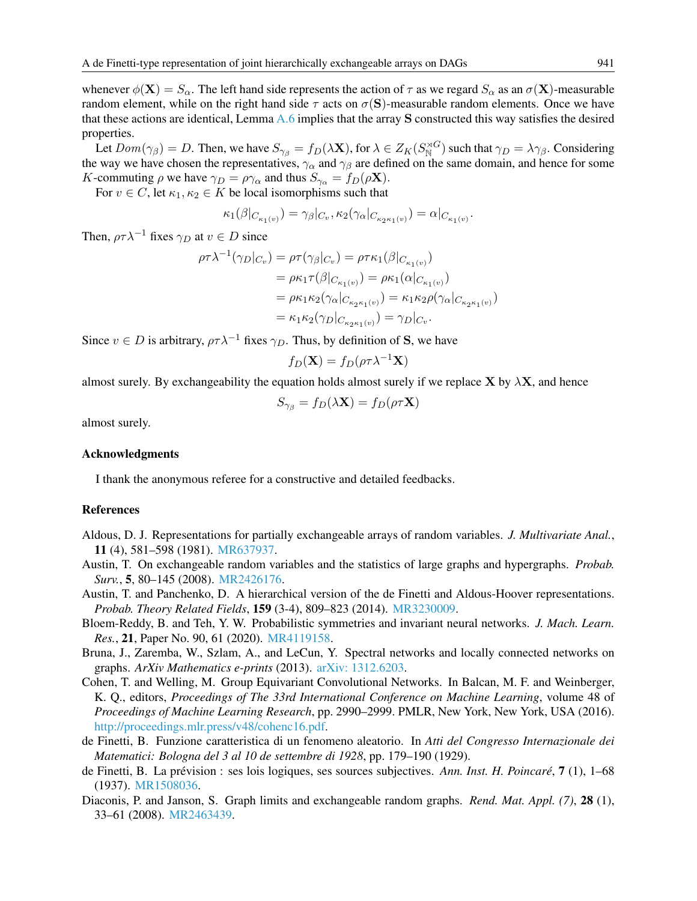whenever  $\phi(\mathbf{X}) = S_{\alpha}$ . The left hand side represents the action of  $\tau$  as we regard  $S_{\alpha}$  as an  $\sigma(\mathbf{X})$ -measurable random element, while on the right hand side  $\tau$  acts on  $\sigma(S)$ -measurable random elements. Once we have that these actions are identical, Lemma [A.6](#page-14-5) implies that the array S constructed this way satisfies the desired properties.

Let  $Dom(\gamma_\beta) = D$ . Then, we have  $S_{\gamma_\beta} = f_D(\lambda \mathbf{X})$ , for  $\lambda \in Z_K(S_N^{\rtimes G})$  such that  $\gamma_D = \lambda \gamma_\beta$ . Considering the way we have chosen the representatives,  $\gamma_\alpha$  and  $\gamma_\beta$  are defined on the same domain, and hence for some K-commuting  $\rho$  we have  $\gamma_D = \rho \gamma_\alpha$  and thus  $S_{\gamma_\alpha} = f_D(\rho \mathbf{X})$ .

For  $v \in C$ , let  $\kappa_1, \kappa_2 \in K$  be local isomorphisms such that

$$
\kappa_1(\beta|_{C_{\kappa_1(v)}}) = \gamma_\beta|_{C_v}, \kappa_2(\gamma_\alpha|_{C_{\kappa_2\kappa_1(v)}}) = \alpha|_{C_{\kappa_1(v)}}.
$$

Then,  $\rho \tau \lambda^{-1}$  fixes  $\gamma_D$  at  $v \in D$  since

$$
\rho \tau \lambda^{-1}(\gamma_D|_{C_v}) = \rho \tau(\gamma_{\beta}|_{C_v}) = \rho \tau \kappa_1(\beta|_{C_{\kappa_1(v)}})
$$
  
\n
$$
= \rho \kappa_1 \tau(\beta|_{C_{\kappa_1(v)}}) = \rho \kappa_1(\alpha|_{C_{\kappa_1(v)}})
$$
  
\n
$$
= \rho \kappa_1 \kappa_2(\gamma_{\alpha}|_{C_{\kappa_2 \kappa_1(v)}}) = \kappa_1 \kappa_2 \rho(\gamma_{\alpha}|_{C_{\kappa_2 \kappa_1(v)}})
$$
  
\n
$$
= \kappa_1 \kappa_2(\gamma_D|_{C_{\kappa_2 \kappa_1(v)}}) = \gamma_D|_{C_v}.
$$

Since  $v \in D$  is arbitrary,  $\rho \tau \lambda^{-1}$  fixes  $\gamma_D$ . Thus, by definition of S, we have

$$
f_D(\mathbf{X}) = f_D(\rho \tau \lambda^{-1} \mathbf{X})
$$

almost surely. By exchangeability the equation holds almost surely if we replace  $X$  by  $\lambda X$ , and hence

$$
S_{\gamma_{\beta}} = f_D(\lambda \mathbf{X}) = f_D(\rho \tau \mathbf{X})
$$

almost surely.

#### Acknowledgments

I thank the anonymous referee for a constructive and detailed feedbacks.

### References

- <span id="page-16-1"></span>Aldous, D. J. Representations for partially exchangeable arrays of random variables. *J. Multivariate Anal.*, 11 (4), 581–598 (1981). [MR637937.](http://www.ams.org/mathscinet-getitem?mr=MR637937)
- <span id="page-16-8"></span>Austin, T. On exchangeable random variables and the statistics of large graphs and hypergraphs. *Probab. Surv.*, 5, 80–145 (2008). [MR2426176.](http://www.ams.org/mathscinet-getitem?mr=MR2426176)
- <span id="page-16-0"></span>Austin, T. and Panchenko, D. A hierarchical version of the de Finetti and Aldous-Hoover representations. *Probab. Theory Related Fields*, 159 (3-4), 809–823 (2014). [MR3230009.](http://www.ams.org/mathscinet-getitem?mr=MR3230009)
- <span id="page-16-2"></span>Bloem-Reddy, B. and Teh, Y. W. Probabilistic symmetries and invariant neural networks. *J. Mach. Learn. Res.*, 21, Paper No. 90, 61 (2020). [MR4119158.](http://www.ams.org/mathscinet-getitem?mr=MR4119158)
- <span id="page-16-4"></span>Bruna, J., Zaremba, W., Szlam, A., and LeCun, Y. Spectral networks and locally connected networks on graphs. *ArXiv Mathematics e-prints* (2013). [arXiv: 1312.6203.](http://arxiv.org/abs/1312.6203)
- <span id="page-16-3"></span>Cohen, T. and Welling, M. Group Equivariant Convolutional Networks. In Balcan, M. F. and Weinberger, K. Q., editors, *Proceedings of The 33rd International Conference on Machine Learning*, volume 48 of *Proceedings of Machine Learning Research*, pp. 2990–2999. PMLR, New York, New York, USA (2016). [http://proceedings.mlr.press/v48/cohenc16.pdf.](http://proceedings.mlr.press/v48/cohenc16.pdf)
- <span id="page-16-5"></span>de Finetti, B. Funzione caratteristica di un fenomeno aleatorio. In *Atti del Congresso Internazionale dei Matematici: Bologna del 3 al 10 de settembre di 1928*, pp. 179–190 (1929).
- <span id="page-16-6"></span>de Finetti, B. La prévision : ses lois logiques, ses sources subjectives. *Ann. Inst. H. Poincaré*, 7 (1), 1–68 (1937). [MR1508036.](http://www.ams.org/mathscinet-getitem?mr=MR1508036)
- <span id="page-16-7"></span>Diaconis, P. and Janson, S. Graph limits and exchangeable random graphs. *Rend. Mat. Appl. (7)*, 28 (1), 33–61 (2008). [MR2463439.](http://www.ams.org/mathscinet-getitem?mr=MR2463439)